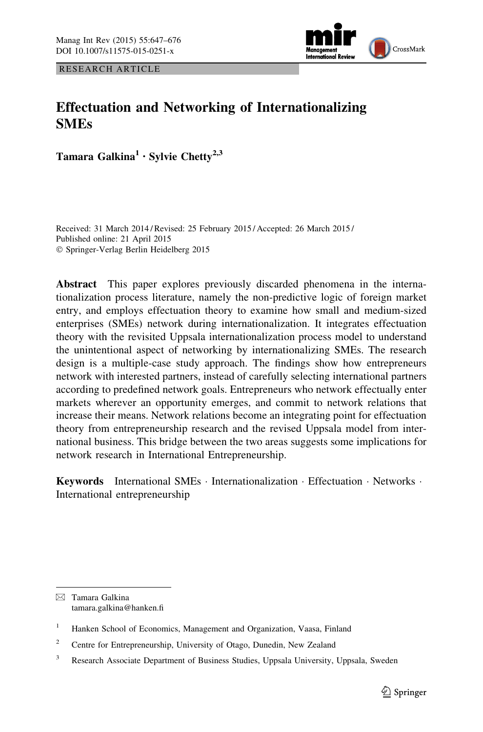

RESEARCH ARTICLE

# Effectuation and Networking of Internationalizing **SMEs**

Tamara Galkina<sup>1</sup> · Sylvie Chetty<sup>2,3</sup>

Received: 31 March 2014 / Revised: 25 February 2015 / Accepted: 26 March 2015 / Published online: 21 April 2015 - Springer-Verlag Berlin Heidelberg 2015

Abstract This paper explores previously discarded phenomena in the internationalization process literature, namely the non-predictive logic of foreign market entry, and employs effectuation theory to examine how small and medium-sized enterprises (SMEs) network during internationalization. It integrates effectuation theory with the revisited Uppsala internationalization process model to understand the unintentional aspect of networking by internationalizing SMEs. The research design is a multiple-case study approach. The findings show how entrepreneurs network with interested partners, instead of carefully selecting international partners according to predefined network goals. Entrepreneurs who network effectually enter markets wherever an opportunity emerges, and commit to network relations that increase their means. Network relations become an integrating point for effectuation theory from entrepreneurship research and the revised Uppsala model from international business. This bridge between the two areas suggests some implications for network research in International Entrepreneurship.

Keywords International SMEs · Internationalization · Effectuation · Networks · International entrepreneurship

 $\boxtimes$  Tamara Galkina tamara.galkina@hanken.fi

<sup>&</sup>lt;sup>1</sup> Hanken School of Economics, Management and Organization, Vaasa, Finland

<sup>&</sup>lt;sup>2</sup> Centre for Entrepreneurship, University of Otago, Dunedin, New Zealand

<sup>&</sup>lt;sup>3</sup> Research Associate Department of Business Studies, Uppsala University, Uppsala, Sweden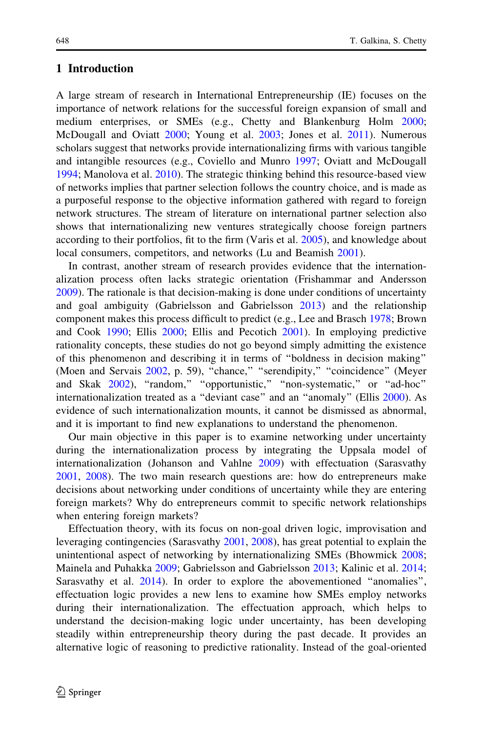# 1 Introduction

A large stream of research in International Entrepreneurship (IE) focuses on the importance of network relations for the successful foreign expansion of small and medium enterprises, or SMEs (e.g., Chetty and Blankenburg Holm [2000;](#page-26-0) McDougall and Oviatt [2000](#page-28-0); Young et al. [2003;](#page-29-0) Jones et al. [2011](#page-27-0)). Numerous scholars suggest that networks provide internationalizing firms with various tangible and intangible resources (e.g., Coviello and Munro [1997](#page-26-0); Oviatt and McDougall [1994;](#page-28-0) Manolova et al. [2010](#page-28-0)). The strategic thinking behind this resource-based view of networks implies that partner selection follows the country choice, and is made as a purposeful response to the objective information gathered with regard to foreign network structures. The stream of literature on international partner selection also shows that internationalizing new ventures strategically choose foreign partners according to their portfolios, fit to the firm (Varis et al. [2005](#page-29-0)), and knowledge about local consumers, competitors, and networks (Lu and Beamish [2001](#page-27-0)).

In contrast, another stream of research provides evidence that the internationalization process often lacks strategic orientation (Frishammar and Andersson [2009\)](#page-27-0). The rationale is that decision-making is done under conditions of uncertainty and goal ambiguity (Gabrielsson and Gabrielsson [2013\)](#page-27-0) and the relationship component makes this process difficult to predict (e.g., Lee and Brasch [1978](#page-27-0); Brown and Cook [1990;](#page-26-0) Ellis [2000](#page-26-0); Ellis and Pecotich [2001\)](#page-26-0). In employing predictive rationality concepts, these studies do not go beyond simply admitting the existence of this phenomenon and describing it in terms of ''boldness in decision making'' (Moen and Servais [2002,](#page-28-0) p. 59), "chance," "serendipity," "coincidence" (Meyer and Skak [2002\)](#page-28-0), "random," "opportunistic," "non-systematic," or "ad-hoc" internationalization treated as a ''deviant case'' and an ''anomaly'' (Ellis [2000\)](#page-26-0). As evidence of such internationalization mounts, it cannot be dismissed as abnormal, and it is important to find new explanations to understand the phenomenon.

Our main objective in this paper is to examine networking under uncertainty during the internationalization process by integrating the Uppsala model of internationalization (Johanson and Vahlne [2009](#page-27-0)) with effectuation (Sarasvathy [2001,](#page-28-0) [2008\)](#page-28-0). The two main research questions are: how do entrepreneurs make decisions about networking under conditions of uncertainty while they are entering foreign markets? Why do entrepreneurs commit to specific network relationships when entering foreign markets?

Effectuation theory, with its focus on non-goal driven logic, improvisation and leveraging contingencies (Sarasvathy [2001,](#page-28-0) [2008\)](#page-28-0), has great potential to explain the unintentional aspect of networking by internationalizing SMEs (Bhowmick [2008;](#page-26-0) Mainela and Puhakka [2009](#page-27-0); Gabrielsson and Gabrielsson [2013](#page-27-0); Kalinic et al. [2014;](#page-27-0) Sarasvathy et al. [2014](#page-28-0)). In order to explore the abovementioned ''anomalies'', effectuation logic provides a new lens to examine how SMEs employ networks during their internationalization. The effectuation approach, which helps to understand the decision-making logic under uncertainty, has been developing steadily within entrepreneurship theory during the past decade. It provides an alternative logic of reasoning to predictive rationality. Instead of the goal-oriented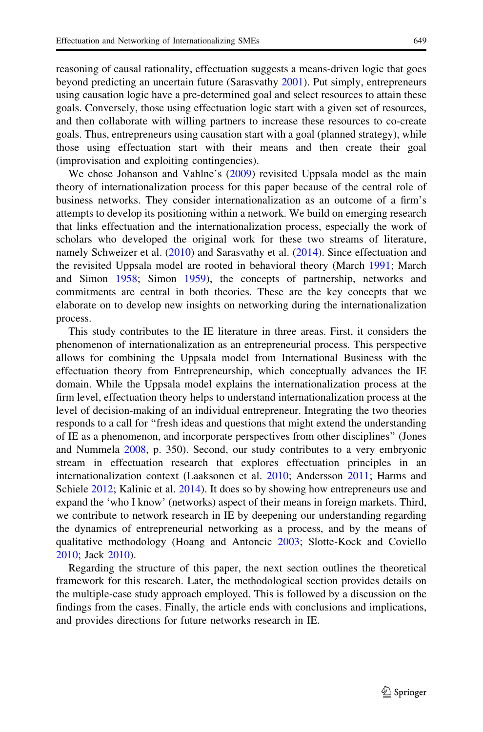reasoning of causal rationality, effectuation suggests a means-driven logic that goes beyond predicting an uncertain future (Sarasvathy [2001](#page-28-0)). Put simply, entrepreneurs using causation logic have a pre-determined goal and select resources to attain these goals. Conversely, those using effectuation logic start with a given set of resources, and then collaborate with willing partners to increase these resources to co-create goals. Thus, entrepreneurs using causation start with a goal (planned strategy), while those using effectuation start with their means and then create their goal (improvisation and exploiting contingencies).

We chose Johanson and Vahlne's [\(2009](#page-27-0)) revisited Uppsala model as the main theory of internationalization process for this paper because of the central role of business networks. They consider internationalization as an outcome of a firm's attempts to develop its positioning within a network. We build on emerging research that links effectuation and the internationalization process, especially the work of scholars who developed the original work for these two streams of literature, namely Schweizer et al. ([2010\)](#page-29-0) and Sarasvathy et al. ([2014\)](#page-28-0). Since effectuation and the revisited Uppsala model are rooted in behavioral theory (March [1991;](#page-28-0) March and Simon [1958](#page-28-0); Simon [1959\)](#page-29-0), the concepts of partnership, networks and commitments are central in both theories. These are the key concepts that we elaborate on to develop new insights on networking during the internationalization process.

This study contributes to the IE literature in three areas. First, it considers the phenomenon of internationalization as an entrepreneurial process. This perspective allows for combining the Uppsala model from International Business with the effectuation theory from Entrepreneurship, which conceptually advances the IE domain. While the Uppsala model explains the internationalization process at the firm level, effectuation theory helps to understand internationalization process at the level of decision-making of an individual entrepreneur. Integrating the two theories responds to a call for ''fresh ideas and questions that might extend the understanding of IE as a phenomenon, and incorporate perspectives from other disciplines'' (Jones and Nummela [2008](#page-27-0), p. 350). Second, our study contributes to a very embryonic stream in effectuation research that explores effectuation principles in an internationalization context (Laaksonen et al. [2010;](#page-27-0) Andersson [2011](#page-25-0); Harms and Schiele [2012](#page-27-0); Kalinic et al. [2014\)](#page-27-0). It does so by showing how entrepreneurs use and expand the 'who I know' (networks) aspect of their means in foreign markets. Third, we contribute to network research in IE by deepening our understanding regarding the dynamics of entrepreneurial networking as a process, and by the means of qualitative methodology (Hoang and Antoncic [2003;](#page-27-0) Slotte-Kock and Coviello [2010;](#page-29-0) Jack [2010](#page-27-0)).

Regarding the structure of this paper, the next section outlines the theoretical framework for this research. Later, the methodological section provides details on the multiple-case study approach employed. This is followed by a discussion on the findings from the cases. Finally, the article ends with conclusions and implications, and provides directions for future networks research in IE.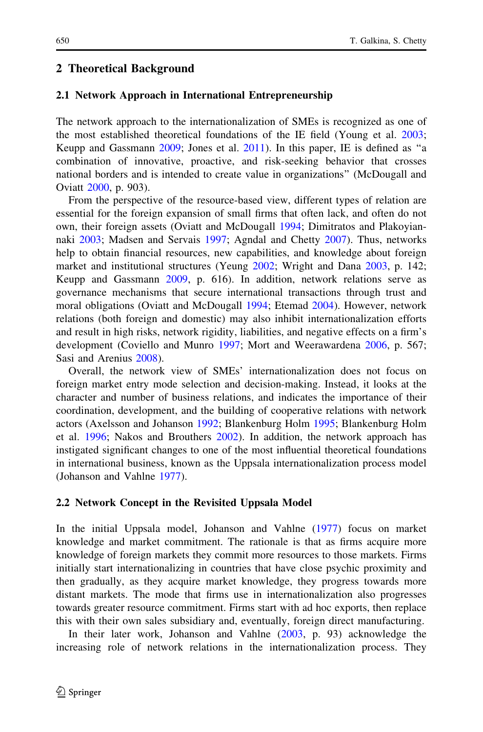# 2 Theoretical Background

### 2.1 Network Approach in International Entrepreneurship

The network approach to the internationalization of SMEs is recognized as one of the most established theoretical foundations of the IE field (Young et al. [2003;](#page-29-0) Keupp and Gassmann  $2009$ ; Jones et al.  $2011$ ). In this paper, IE is defined as "a combination of innovative, proactive, and risk-seeking behavior that crosses national borders and is intended to create value in organizations'' (McDougall and Oviatt [2000](#page-28-0), p. 903).

From the perspective of the resource-based view, different types of relation are essential for the foreign expansion of small firms that often lack, and often do not own, their foreign assets (Oviatt and McDougall [1994](#page-28-0); Dimitratos and Plakoyiannaki [2003](#page-26-0); Madsen and Servais [1997](#page-27-0); Agndal and Chetty [2007\)](#page-25-0). Thus, networks help to obtain financial resources, new capabilities, and knowledge about foreign market and institutional structures (Yeung [2002;](#page-29-0) Wright and Dana [2003,](#page-29-0) p. 142; Keupp and Gassmann [2009,](#page-27-0) p. 616). In addition, network relations serve as governance mechanisms that secure international transactions through trust and moral obligations (Oviatt and McDougall [1994;](#page-28-0) Etemad [2004\)](#page-26-0). However, network relations (both foreign and domestic) may also inhibit internationalization efforts and result in high risks, network rigidity, liabilities, and negative effects on a firm's development (Coviello and Munro [1997;](#page-26-0) Mort and Weerawardena [2006](#page-28-0), p. 567; Sasi and Arenius [2008\)](#page-29-0).

Overall, the network view of SMEs' internationalization does not focus on foreign market entry mode selection and decision-making. Instead, it looks at the character and number of business relations, and indicates the importance of their coordination, development, and the building of cooperative relations with network actors (Axelsson and Johanson [1992;](#page-26-0) Blankenburg Holm [1995](#page-26-0); Blankenburg Holm et al. [1996](#page-26-0); Nakos and Brouthers [2002\)](#page-28-0). In addition, the network approach has instigated significant changes to one of the most influential theoretical foundations in international business, known as the Uppsala internationalization process model (Johanson and Vahlne [1977\)](#page-27-0).

### 2.2 Network Concept in the Revisited Uppsala Model

In the initial Uppsala model, Johanson and Vahlne [\(1977](#page-27-0)) focus on market knowledge and market commitment. The rationale is that as firms acquire more knowledge of foreign markets they commit more resources to those markets. Firms initially start internationalizing in countries that have close psychic proximity and then gradually, as they acquire market knowledge, they progress towards more distant markets. The mode that firms use in internationalization also progresses towards greater resource commitment. Firms start with ad hoc exports, then replace this with their own sales subsidiary and, eventually, foreign direct manufacturing.

In their later work, Johanson and Vahlne ([2003,](#page-27-0) p. 93) acknowledge the increasing role of network relations in the internationalization process. They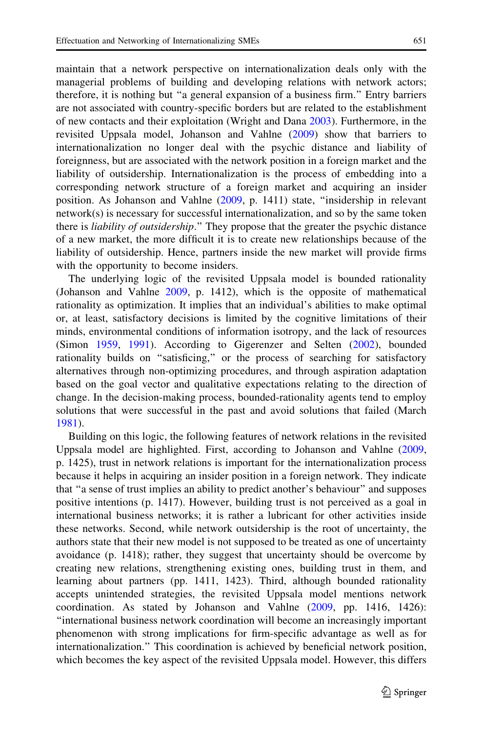maintain that a network perspective on internationalization deals only with the managerial problems of building and developing relations with network actors; therefore, it is nothing but ''a general expansion of a business firm.'' Entry barriers are not associated with country-specific borders but are related to the establishment of new contacts and their exploitation (Wright and Dana [2003\)](#page-29-0). Furthermore, in the revisited Uppsala model, Johanson and Vahlne [\(2009](#page-27-0)) show that barriers to internationalization no longer deal with the psychic distance and liability of foreignness, but are associated with the network position in a foreign market and the liability of outsidership. Internationalization is the process of embedding into a corresponding network structure of a foreign market and acquiring an insider position. As Johanson and Vahlne ([2009,](#page-27-0) p. 1411) state, ''insidership in relevant network(s) is necessary for successful internationalization, and so by the same token there is *liability of outsidership*." They propose that the greater the psychic distance of a new market, the more difficult it is to create new relationships because of the liability of outsidership. Hence, partners inside the new market will provide firms with the opportunity to become insiders.

The underlying logic of the revisited Uppsala model is bounded rationality (Johanson and Vahlne [2009,](#page-27-0) p. 1412), which is the opposite of mathematical rationality as optimization. It implies that an individual's abilities to make optimal or, at least, satisfactory decisions is limited by the cognitive limitations of their minds, environmental conditions of information isotropy, and the lack of resources (Simon [1959](#page-29-0), [1991\)](#page-29-0). According to Gigerenzer and Selten [\(2002](#page-27-0)), bounded rationality builds on ''satisficing,'' or the process of searching for satisfactory alternatives through non-optimizing procedures, and through aspiration adaptation based on the goal vector and qualitative expectations relating to the direction of change. In the decision-making process, bounded-rationality agents tend to employ solutions that were successful in the past and avoid solutions that failed (March [1981\)](#page-28-0).

Building on this logic, the following features of network relations in the revisited Uppsala model are highlighted. First, according to Johanson and Vahlne ([2009,](#page-27-0) p. 1425), trust in network relations is important for the internationalization process because it helps in acquiring an insider position in a foreign network. They indicate that ''a sense of trust implies an ability to predict another's behaviour'' and supposes positive intentions (p. 1417). However, building trust is not perceived as a goal in international business networks; it is rather a lubricant for other activities inside these networks. Second, while network outsidership is the root of uncertainty, the authors state that their new model is not supposed to be treated as one of uncertainty avoidance (p. 1418); rather, they suggest that uncertainty should be overcome by creating new relations, strengthening existing ones, building trust in them, and learning about partners (pp. 1411, 1423). Third, although bounded rationality accepts unintended strategies, the revisited Uppsala model mentions network coordination. As stated by Johanson and Vahlne [\(2009](#page-27-0), pp. 1416, 1426): ''international business network coordination will become an increasingly important phenomenon with strong implications for firm-specific advantage as well as for internationalization.'' This coordination is achieved by beneficial network position, which becomes the key aspect of the revisited Uppsala model. However, this differs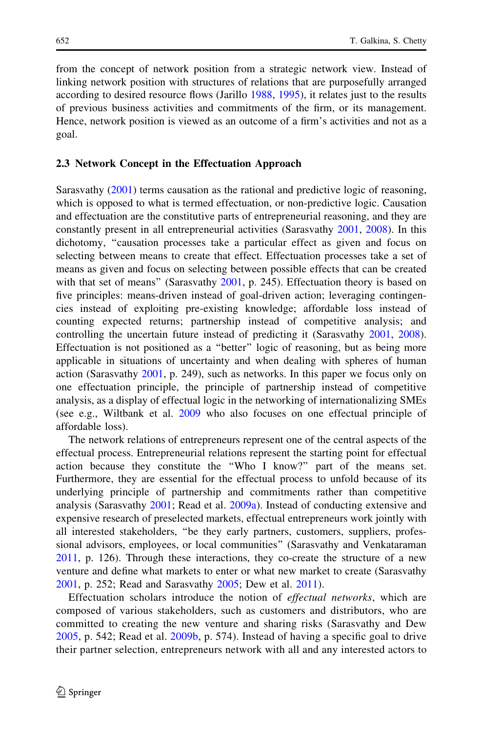from the concept of network position from a strategic network view. Instead of linking network position with structures of relations that are purposefully arranged according to desired resource flows (Jarillo [1988,](#page-27-0) [1995](#page-27-0)), it relates just to the results of previous business activities and commitments of the firm, or its management. Hence, network position is viewed as an outcome of a firm's activities and not as a goal.

### 2.3 Network Concept in the Effectuation Approach

Sarasvathy [\(2001](#page-28-0)) terms causation as the rational and predictive logic of reasoning, which is opposed to what is termed effectuation, or non-predictive logic. Causation and effectuation are the constitutive parts of entrepreneurial reasoning, and they are constantly present in all entrepreneurial activities (Sarasvathy [2001](#page-28-0), [2008\)](#page-28-0). In this dichotomy, ''causation processes take a particular effect as given and focus on selecting between means to create that effect. Effectuation processes take a set of means as given and focus on selecting between possible effects that can be created with that set of means" (Sarasvathy [2001,](#page-28-0) p. 245). Effectuation theory is based on five principles: means-driven instead of goal-driven action; leveraging contingencies instead of exploiting pre-existing knowledge; affordable loss instead of counting expected returns; partnership instead of competitive analysis; and controlling the uncertain future instead of predicting it (Sarasvathy [2001,](#page-28-0) [2008\)](#page-28-0). Effectuation is not positioned as a ''better'' logic of reasoning, but as being more applicable in situations of uncertainty and when dealing with spheres of human action (Sarasvathy [2001,](#page-28-0) p. 249), such as networks. In this paper we focus only on one effectuation principle, the principle of partnership instead of competitive analysis, as a display of effectual logic in the networking of internationalizing SMEs (see e.g., Wiltbank et al. [2009](#page-29-0) who also focuses on one effectual principle of affordable loss).

The network relations of entrepreneurs represent one of the central aspects of the effectual process. Entrepreneurial relations represent the starting point for effectual action because they constitute the ''Who I know?'' part of the means set. Furthermore, they are essential for the effectual process to unfold because of its underlying principle of partnership and commitments rather than competitive analysis (Sarasvathy [2001](#page-28-0); Read et al. [2009a](#page-28-0)). Instead of conducting extensive and expensive research of preselected markets, effectual entrepreneurs work jointly with all interested stakeholders, ''be they early partners, customers, suppliers, professional advisors, employees, or local communities'' (Sarasvathy and Venkataraman [2011,](#page-29-0) p. 126). Through these interactions, they co-create the structure of a new venture and define what markets to enter or what new market to create (Sarasvathy [2001,](#page-28-0) p. 252; Read and Sarasvathy [2005;](#page-28-0) Dew et al. [2011](#page-26-0)).

Effectuation scholars introduce the notion of effectual networks, which are composed of various stakeholders, such as customers and distributors, who are committed to creating the new venture and sharing risks (Sarasvathy and Dew [2005](#page-28-0), p. 542; Read et al. [2009b,](#page-28-0) p. 574). Instead of having a specific goal to drive their partner selection, entrepreneurs network with all and any interested actors to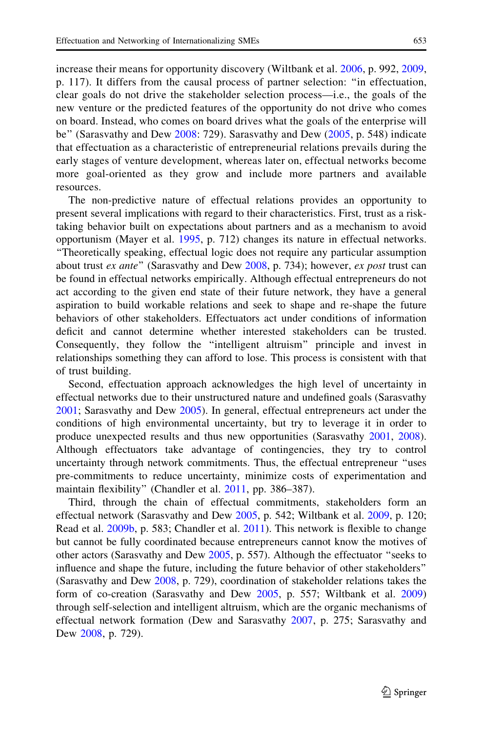increase their means for opportunity discovery (Wiltbank et al. [2006](#page-29-0), p. 992, [2009,](#page-29-0) p. 117). It differs from the causal process of partner selection: ''in effectuation, clear goals do not drive the stakeholder selection process—i.e., the goals of the new venture or the predicted features of the opportunity do not drive who comes on board. Instead, who comes on board drives what the goals of the enterprise will be" (Sarasvathy and Dew [2008](#page-28-0): 729). Sarasvathy and Dew ([2005](#page-28-0), p. 548) indicate that effectuation as a characteristic of entrepreneurial relations prevails during the early stages of venture development, whereas later on, effectual networks become more goal-oriented as they grow and include more partners and available resources.

The non-predictive nature of effectual relations provides an opportunity to present several implications with regard to their characteristics. First, trust as a risktaking behavior built on expectations about partners and as a mechanism to avoid opportunism (Mayer et al. [1995](#page-28-0), p. 712) changes its nature in effectual networks. ''Theoretically speaking, effectual logic does not require any particular assumption about trust  $ex$  ante" (Sarasvathy and Dew  $2008$ , p. 734); however,  $ex$  post trust can be found in effectual networks empirically. Although effectual entrepreneurs do not act according to the given end state of their future network, they have a general aspiration to build workable relations and seek to shape and re-shape the future behaviors of other stakeholders. Effectuators act under conditions of information deficit and cannot determine whether interested stakeholders can be trusted. Consequently, they follow the ''intelligent altruism'' principle and invest in relationships something they can afford to lose. This process is consistent with that of trust building.

Second, effectuation approach acknowledges the high level of uncertainty in effectual networks due to their unstructured nature and undefined goals (Sarasvathy [2001;](#page-28-0) Sarasvathy and Dew [2005\)](#page-28-0). In general, effectual entrepreneurs act under the conditions of high environmental uncertainty, but try to leverage it in order to produce unexpected results and thus new opportunities (Sarasvathy [2001,](#page-28-0) [2008\)](#page-28-0). Although effectuators take advantage of contingencies, they try to control uncertainty through network commitments. Thus, the effectual entrepreneur ''uses pre-commitments to reduce uncertainty, minimize costs of experimentation and maintain flexibility" (Chandler et al. [2011](#page-26-0), pp. 386–387).

Third, through the chain of effectual commitments, stakeholders form an effectual network (Sarasvathy and Dew [2005](#page-28-0), p. 542; Wiltbank et al. [2009,](#page-29-0) p. 120; Read et al. [2009b](#page-28-0), p. 583; Chandler et al. [2011\)](#page-26-0). This network is flexible to change but cannot be fully coordinated because entrepreneurs cannot know the motives of other actors (Sarasvathy and Dew [2005,](#page-28-0) p. 557). Although the effectuator ''seeks to influence and shape the future, including the future behavior of other stakeholders'' (Sarasvathy and Dew [2008,](#page-28-0) p. 729), coordination of stakeholder relations takes the form of co-creation (Sarasvathy and Dew [2005,](#page-28-0) p. 557; Wiltbank et al. [2009](#page-29-0)) through self-selection and intelligent altruism, which are the organic mechanisms of effectual network formation (Dew and Sarasvathy [2007,](#page-26-0) p. 275; Sarasvathy and Dew [2008](#page-28-0), p. 729).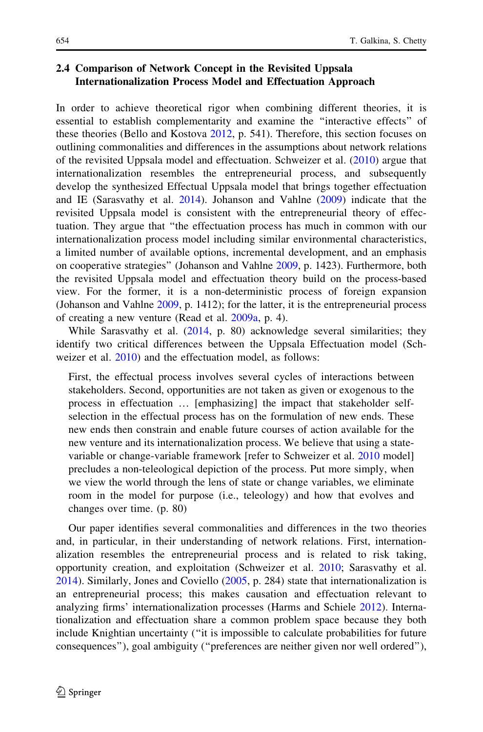# 2.4 Comparison of Network Concept in the Revisited Uppsala Internationalization Process Model and Effectuation Approach

In order to achieve theoretical rigor when combining different theories, it is essential to establish complementarity and examine the ''interactive effects'' of these theories (Bello and Kostova [2012](#page-26-0), p. 541). Therefore, this section focuses on outlining commonalities and differences in the assumptions about network relations of the revisited Uppsala model and effectuation. Schweizer et al. ([2010\)](#page-29-0) argue that internationalization resembles the entrepreneurial process, and subsequently develop the synthesized Effectual Uppsala model that brings together effectuation and IE (Sarasvathy et al. [2014\)](#page-28-0). Johanson and Vahlne ([2009\)](#page-27-0) indicate that the revisited Uppsala model is consistent with the entrepreneurial theory of effectuation. They argue that ''the effectuation process has much in common with our internationalization process model including similar environmental characteristics, a limited number of available options, incremental development, and an emphasis on cooperative strategies'' (Johanson and Vahlne [2009](#page-27-0), p. 1423). Furthermore, both the revisited Uppsala model and effectuation theory build on the process-based view. For the former, it is a non-deterministic process of foreign expansion (Johanson and Vahlne [2009,](#page-27-0) p. 1412); for the latter, it is the entrepreneurial process of creating a new venture (Read et al. [2009a,](#page-28-0) p. 4).

While Sarasvathy et al. [\(2014](#page-28-0), p. 80) acknowledge several similarities; they identify two critical differences between the Uppsala Effectuation model (Schweizer et al.  $2010$ ) and the effectuation model, as follows:

First, the effectual process involves several cycles of interactions between stakeholders. Second, opportunities are not taken as given or exogenous to the process in effectuation … [emphasizing] the impact that stakeholder selfselection in the effectual process has on the formulation of new ends. These new ends then constrain and enable future courses of action available for the new venture and its internationalization process. We believe that using a statevariable or change-variable framework [refer to Schweizer et al. [2010](#page-29-0) model] precludes a non-teleological depiction of the process. Put more simply, when we view the world through the lens of state or change variables, we eliminate room in the model for purpose (i.e., teleology) and how that evolves and changes over time. (p. 80)

Our paper identifies several commonalities and differences in the two theories and, in particular, in their understanding of network relations. First, internationalization resembles the entrepreneurial process and is related to risk taking, opportunity creation, and exploitation (Schweizer et al. [2010](#page-29-0); Sarasvathy et al. [2014\)](#page-28-0). Similarly, Jones and Coviello [\(2005](#page-27-0), p. 284) state that internationalization is an entrepreneurial process; this makes causation and effectuation relevant to analyzing firms' internationalization processes (Harms and Schiele [2012](#page-27-0)). Internationalization and effectuation share a common problem space because they both include Knightian uncertainty (''it is impossible to calculate probabilities for future consequences''), goal ambiguity (''preferences are neither given nor well ordered''),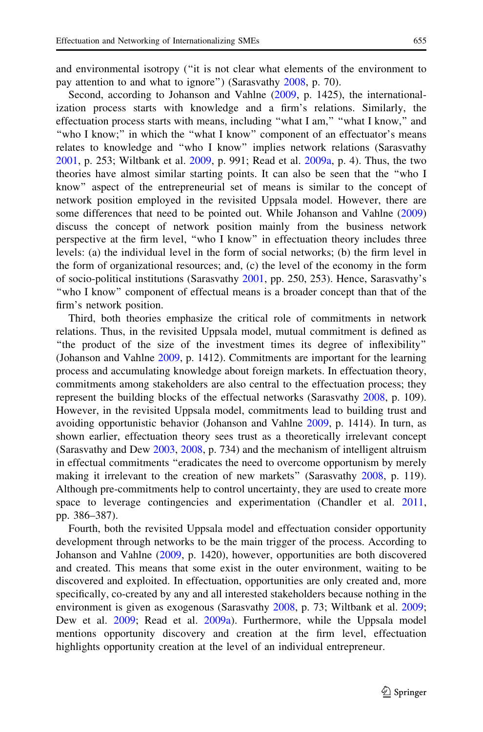and environmental isotropy (''it is not clear what elements of the environment to pay attention to and what to ignore'') (Sarasvathy [2008](#page-28-0), p. 70).

Second, according to Johanson and Vahlne ([2009,](#page-27-0) p. 1425), the internationalization process starts with knowledge and a firm's relations. Similarly, the effectuation process starts with means, including ''what I am,'' ''what I know,'' and "who I know;" in which the "what I know" component of an effectuator's means relates to knowledge and ''who I know'' implies network relations (Sarasvathy [2001,](#page-28-0) p. 253; Wiltbank et al. [2009](#page-29-0), p. 991; Read et al. [2009a,](#page-28-0) p. 4). Thus, the two theories have almost similar starting points. It can also be seen that the ''who I know'' aspect of the entrepreneurial set of means is similar to the concept of network position employed in the revisited Uppsala model. However, there are some differences that need to be pointed out. While Johanson and Vahlne [\(2009](#page-27-0)) discuss the concept of network position mainly from the business network perspective at the firm level, ''who I know'' in effectuation theory includes three levels: (a) the individual level in the form of social networks; (b) the firm level in the form of organizational resources; and, (c) the level of the economy in the form of socio-political institutions (Sarasvathy [2001,](#page-28-0) pp. 250, 253). Hence, Sarasvathy's ''who I know'' component of effectual means is a broader concept than that of the firm's network position.

Third, both theories emphasize the critical role of commitments in network relations. Thus, in the revisited Uppsala model, mutual commitment is defined as ''the product of the size of the investment times its degree of inflexibility'' (Johanson and Vahlne [2009,](#page-27-0) p. 1412). Commitments are important for the learning process and accumulating knowledge about foreign markets. In effectuation theory, commitments among stakeholders are also central to the effectuation process; they represent the building blocks of the effectual networks (Sarasvathy [2008,](#page-28-0) p. 109). However, in the revisited Uppsala model, commitments lead to building trust and avoiding opportunistic behavior (Johanson and Vahlne [2009](#page-27-0), p. 1414). In turn, as shown earlier, effectuation theory sees trust as a theoretically irrelevant concept (Sarasvathy and Dew [2003](#page-28-0), [2008,](#page-28-0) p. 734) and the mechanism of intelligent altruism in effectual commitments ''eradicates the need to overcome opportunism by merely making it irrelevant to the creation of new markets'' (Sarasvathy [2008](#page-28-0), p. 119). Although pre-commitments help to control uncertainty, they are used to create more space to leverage contingencies and experimentation (Chandler et al. [2011,](#page-26-0) pp. 386–387).

Fourth, both the revisited Uppsala model and effectuation consider opportunity development through networks to be the main trigger of the process. According to Johanson and Vahlne [\(2009](#page-27-0), p. 1420), however, opportunities are both discovered and created. This means that some exist in the outer environment, waiting to be discovered and exploited. In effectuation, opportunities are only created and, more specifically, co-created by any and all interested stakeholders because nothing in the environment is given as exogenous (Sarasvathy [2008,](#page-28-0) p. 73; Wiltbank et al. [2009;](#page-29-0) Dew et al. [2009](#page-26-0); Read et al. [2009a](#page-28-0)). Furthermore, while the Uppsala model mentions opportunity discovery and creation at the firm level, effectuation highlights opportunity creation at the level of an individual entrepreneur.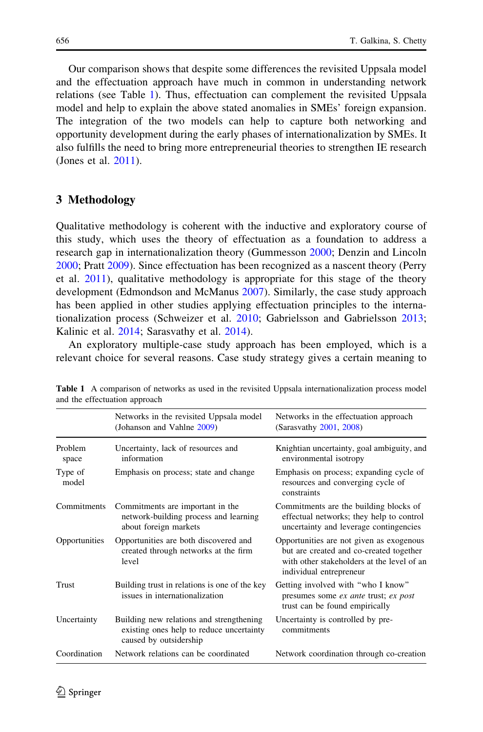<span id="page-9-0"></span>Our comparison shows that despite some differences the revisited Uppsala model and the effectuation approach have much in common in understanding network relations (see Table 1). Thus, effectuation can complement the revisited Uppsala model and help to explain the above stated anomalies in SMEs' foreign expansion. The integration of the two models can help to capture both networking and opportunity development during the early phases of internationalization by SMEs. It also fulfills the need to bring more entrepreneurial theories to strengthen IE research (Jones et al. [2011](#page-27-0)).

# 3 Methodology

Qualitative methodology is coherent with the inductive and exploratory course of this study, which uses the theory of effectuation as a foundation to address a research gap in internationalization theory (Gummesson [2000;](#page-27-0) Denzin and Lincoln [2000;](#page-26-0) Pratt [2009\)](#page-28-0). Since effectuation has been recognized as a nascent theory (Perry et al.  $2011$ ), qualitative methodology is appropriate for this stage of the theory development (Edmondson and McManus [2007](#page-26-0)). Similarly, the case study approach has been applied in other studies applying effectuation principles to the internationalization process (Schweizer et al. [2010](#page-29-0); Gabrielsson and Gabrielsson [2013;](#page-27-0) Kalinic et al. [2014;](#page-27-0) Sarasvathy et al. [2014\)](#page-28-0).

An exploratory multiple-case study approach has been employed, which is a relevant choice for several reasons. Case study strategy gives a certain meaning to

|                  | Networks in the revisited Uppsala model<br>(Johanson and Vahlne 2009)                                          | Networks in the effectuation approach<br>(Sarasvathy 2001, 2008)                                                                                             |
|------------------|----------------------------------------------------------------------------------------------------------------|--------------------------------------------------------------------------------------------------------------------------------------------------------------|
| Problem<br>space | Uncertainty, lack of resources and<br>information                                                              | Knightian uncertainty, goal ambiguity, and<br>environmental isotropy                                                                                         |
| Type of<br>model | Emphasis on process; state and change                                                                          | Emphasis on process; expanding cycle of<br>resources and converging cycle of<br>constraints                                                                  |
| Commitments      | Commitments are important in the<br>network-building process and learning<br>about foreign markets             | Commitments are the building blocks of<br>effectual networks; they help to control<br>uncertainty and leverage contingencies                                 |
| Opportunities    | Opportunities are both discovered and<br>created through networks at the firm<br>level                         | Opportunities are not given as exogenous<br>but are created and co-created together<br>with other stakeholders at the level of an<br>individual entrepreneur |
| Trust            | Building trust in relations is one of the key<br>issues in internationalization                                | Getting involved with "who I know"<br>presumes some ex ante trust; ex post<br>trust can be found empirically                                                 |
| Uncertainty      | Building new relations and strengthening<br>existing ones help to reduce uncertainty<br>caused by outsidership | Uncertainty is controlled by pre-<br>commitments                                                                                                             |
| Coordination     | Network relations can be coordinated                                                                           | Network coordination through co-creation                                                                                                                     |

Table 1 A comparison of networks as used in the revisited Uppsala internationalization process model and the effectuation approach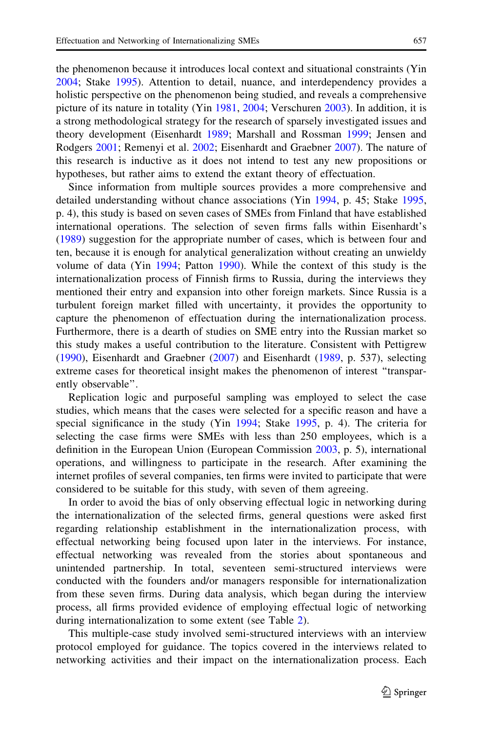the phenomenon because it introduces local context and situational constraints (Yin [2004;](#page-29-0) Stake [1995](#page-29-0)). Attention to detail, nuance, and interdependency provides a holistic perspective on the phenomenon being studied, and reveals a comprehensive picture of its nature in totality (Yin [1981,](#page-29-0) [2004](#page-29-0); Verschuren [2003](#page-29-0)). In addition, it is a strong methodological strategy for the research of sparsely investigated issues and theory development (Eisenhardt [1989](#page-26-0); Marshall and Rossman [1999](#page-28-0); Jensen and Rodgers [2001](#page-27-0); Remenyi et al. [2002](#page-28-0); Eisenhardt and Graebner [2007\)](#page-26-0). The nature of this research is inductive as it does not intend to test any new propositions or hypotheses, but rather aims to extend the extant theory of effectuation.

Since information from multiple sources provides a more comprehensive and detailed understanding without chance associations (Yin [1994](#page-29-0), p. 45; Stake [1995,](#page-29-0) p. 4), this study is based on seven cases of SMEs from Finland that have established international operations. The selection of seven firms falls within Eisenhardt's [\(1989](#page-26-0)) suggestion for the appropriate number of cases, which is between four and ten, because it is enough for analytical generalization without creating an unwieldy volume of data (Yin [1994;](#page-29-0) Patton [1990](#page-28-0)). While the context of this study is the internationalization process of Finnish firms to Russia, during the interviews they mentioned their entry and expansion into other foreign markets. Since Russia is a turbulent foreign market filled with uncertainty, it provides the opportunity to capture the phenomenon of effectuation during the internationalization process. Furthermore, there is a dearth of studies on SME entry into the Russian market so this study makes a useful contribution to the literature. Consistent with Pettigrew [\(1990](#page-28-0)), Eisenhardt and Graebner ([2007\)](#page-26-0) and Eisenhardt ([1989,](#page-26-0) p. 537), selecting extreme cases for theoretical insight makes the phenomenon of interest ''transparently observable''.

Replication logic and purposeful sampling was employed to select the case studies, which means that the cases were selected for a specific reason and have a special significance in the study (Yin [1994](#page-29-0); Stake [1995,](#page-29-0) p. 4). The criteria for selecting the case firms were SMEs with less than 250 employees, which is a definition in the European Union (European Commission [2003](#page-26-0), p. 5), international operations, and willingness to participate in the research. After examining the internet profiles of several companies, ten firms were invited to participate that were considered to be suitable for this study, with seven of them agreeing.

In order to avoid the bias of only observing effectual logic in networking during the internationalization of the selected firms, general questions were asked first regarding relationship establishment in the internationalization process, with effectual networking being focused upon later in the interviews. For instance, effectual networking was revealed from the stories about spontaneous and unintended partnership. In total, seventeen semi-structured interviews were conducted with the founders and/or managers responsible for internationalization from these seven firms. During data analysis, which began during the interview process, all firms provided evidence of employing effectual logic of networking during internationalization to some extent (see Table [2\)](#page-11-0).

This multiple-case study involved semi-structured interviews with an interview protocol employed for guidance. The topics covered in the interviews related to networking activities and their impact on the internationalization process. Each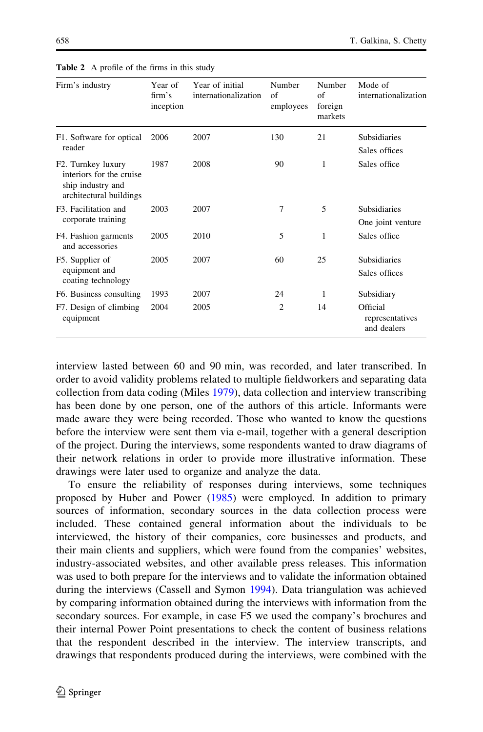| Firm's industry                                                                                | Year of<br>firm's<br>inception | Year of initial<br>internationalization | Number<br>of<br>employees | Number<br>of<br>foreign<br>markets | Mode of<br>internationalization            |
|------------------------------------------------------------------------------------------------|--------------------------------|-----------------------------------------|---------------------------|------------------------------------|--------------------------------------------|
| F1. Software for optical<br>reader                                                             | 2006                           | 2007                                    | 130                       | 21                                 | <b>Subsidiaries</b><br>Sales offices       |
| F2. Turnkey luxury<br>interiors for the cruise<br>ship industry and<br>architectural buildings | 1987                           | 2008                                    | 90                        | 1                                  | Sales office                               |
| F3. Facilitation and<br>corporate training                                                     | 2003                           | 2007                                    | 7                         | 5                                  | <b>Subsidiaries</b><br>One joint venture   |
| F4. Fashion garments<br>and accessories                                                        | 2005                           | 2010                                    | 5                         | 1                                  | Sales office                               |
| F5. Supplier of<br>equipment and<br>coating technology                                         | 2005                           | 2007                                    | 60                        | 25                                 | <b>Subsidiaries</b><br>Sales offices       |
| F6. Business consulting                                                                        | 1993                           | 2007                                    | 24                        | 1                                  | Subsidiary                                 |
| F7. Design of climbing<br>equipment                                                            | 2004                           | 2005                                    | $\overline{c}$            | 14                                 | Official<br>representatives<br>and dealers |

<span id="page-11-0"></span>Table 2 A profile of the firms in this study

interview lasted between 60 and 90 min, was recorded, and later transcribed. In order to avoid validity problems related to multiple fieldworkers and separating data collection from data coding (Miles [1979](#page-28-0)), data collection and interview transcribing has been done by one person, one of the authors of this article. Informants were made aware they were being recorded. Those who wanted to know the questions before the interview were sent them via e-mail, together with a general description of the project. During the interviews, some respondents wanted to draw diagrams of their network relations in order to provide more illustrative information. These drawings were later used to organize and analyze the data.

To ensure the reliability of responses during interviews, some techniques proposed by Huber and Power ([1985\)](#page-27-0) were employed. In addition to primary sources of information, secondary sources in the data collection process were included. These contained general information about the individuals to be interviewed, the history of their companies, core businesses and products, and their main clients and suppliers, which were found from the companies' websites, industry-associated websites, and other available press releases. This information was used to both prepare for the interviews and to validate the information obtained during the interviews (Cassell and Symon [1994](#page-26-0)). Data triangulation was achieved by comparing information obtained during the interviews with information from the secondary sources. For example, in case F5 we used the company's brochures and their internal Power Point presentations to check the content of business relations that the respondent described in the interview. The interview transcripts, and drawings that respondents produced during the interviews, were combined with the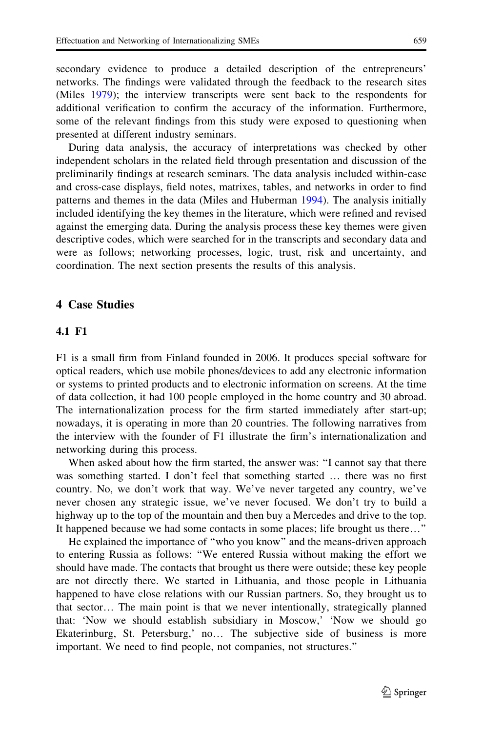secondary evidence to produce a detailed description of the entrepreneurs' networks. The findings were validated through the feedback to the research sites (Miles [1979\)](#page-28-0); the interview transcripts were sent back to the respondents for additional verification to confirm the accuracy of the information. Furthermore, some of the relevant findings from this study were exposed to questioning when presented at different industry seminars.

During data analysis, the accuracy of interpretations was checked by other independent scholars in the related field through presentation and discussion of the preliminarily findings at research seminars. The data analysis included within-case and cross-case displays, field notes, matrixes, tables, and networks in order to find patterns and themes in the data (Miles and Huberman [1994\)](#page-28-0). The analysis initially included identifying the key themes in the literature, which were refined and revised against the emerging data. During the analysis process these key themes were given descriptive codes, which were searched for in the transcripts and secondary data and were as follows; networking processes, logic, trust, risk and uncertainty, and coordination. The next section presents the results of this analysis.

# 4 Case Studies

### 4.1 F1

F1 is a small firm from Finland founded in 2006. It produces special software for optical readers, which use mobile phones/devices to add any electronic information or systems to printed products and to electronic information on screens. At the time of data collection, it had 100 people employed in the home country and 30 abroad. The internationalization process for the firm started immediately after start-up; nowadays, it is operating in more than 20 countries. The following narratives from the interview with the founder of F1 illustrate the firm's internationalization and networking during this process.

When asked about how the firm started, the answer was: "I cannot say that there was something started. I don't feel that something started … there was no first country. No, we don't work that way. We've never targeted any country, we've never chosen any strategic issue, we've never focused. We don't try to build a highway up to the top of the mountain and then buy a Mercedes and drive to the top. It happened because we had some contacts in some places; life brought us there…''

He explained the importance of ''who you know'' and the means-driven approach to entering Russia as follows: ''We entered Russia without making the effort we should have made. The contacts that brought us there were outside; these key people are not directly there. We started in Lithuania, and those people in Lithuania happened to have close relations with our Russian partners. So, they brought us to that sector… The main point is that we never intentionally, strategically planned that: 'Now we should establish subsidiary in Moscow,' 'Now we should go Ekaterinburg, St. Petersburg,' no… The subjective side of business is more important. We need to find people, not companies, not structures.''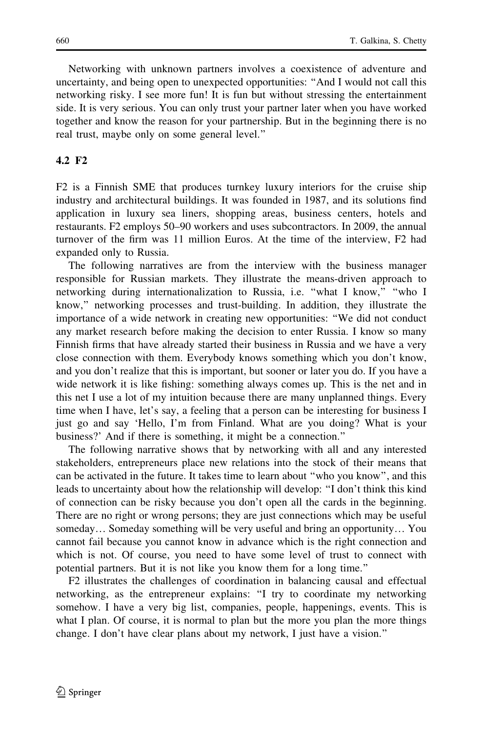Networking with unknown partners involves a coexistence of adventure and uncertainty, and being open to unexpected opportunities: ''And I would not call this networking risky. I see more fun! It is fun but without stressing the entertainment side. It is very serious. You can only trust your partner later when you have worked together and know the reason for your partnership. But in the beginning there is no real trust, maybe only on some general level.''

# 4.2 F2

F2 is a Finnish SME that produces turnkey luxury interiors for the cruise ship industry and architectural buildings. It was founded in 1987, and its solutions find application in luxury sea liners, shopping areas, business centers, hotels and restaurants. F2 employs 50–90 workers and uses subcontractors. In 2009, the annual turnover of the firm was 11 million Euros. At the time of the interview, F2 had expanded only to Russia.

The following narratives are from the interview with the business manager responsible for Russian markets. They illustrate the means-driven approach to networking during internationalization to Russia, i.e. ''what I know,'' ''who I know,'' networking processes and trust-building. In addition, they illustrate the importance of a wide network in creating new opportunities: ''We did not conduct any market research before making the decision to enter Russia. I know so many Finnish firms that have already started their business in Russia and we have a very close connection with them. Everybody knows something which you don't know, and you don't realize that this is important, but sooner or later you do. If you have a wide network it is like fishing: something always comes up. This is the net and in this net I use a lot of my intuition because there are many unplanned things. Every time when I have, let's say, a feeling that a person can be interesting for business I just go and say 'Hello, I'm from Finland. What are you doing? What is your business?' And if there is something, it might be a connection.''

The following narrative shows that by networking with all and any interested stakeholders, entrepreneurs place new relations into the stock of their means that can be activated in the future. It takes time to learn about ''who you know'', and this leads to uncertainty about how the relationship will develop: ''I don't think this kind of connection can be risky because you don't open all the cards in the beginning. There are no right or wrong persons; they are just connections which may be useful someday… Someday something will be very useful and bring an opportunity… You cannot fail because you cannot know in advance which is the right connection and which is not. Of course, you need to have some level of trust to connect with potential partners. But it is not like you know them for a long time.''

F2 illustrates the challenges of coordination in balancing causal and effectual networking, as the entrepreneur explains: ''I try to coordinate my networking somehow. I have a very big list, companies, people, happenings, events. This is what I plan. Of course, it is normal to plan but the more you plan the more things change. I don't have clear plans about my network, I just have a vision.''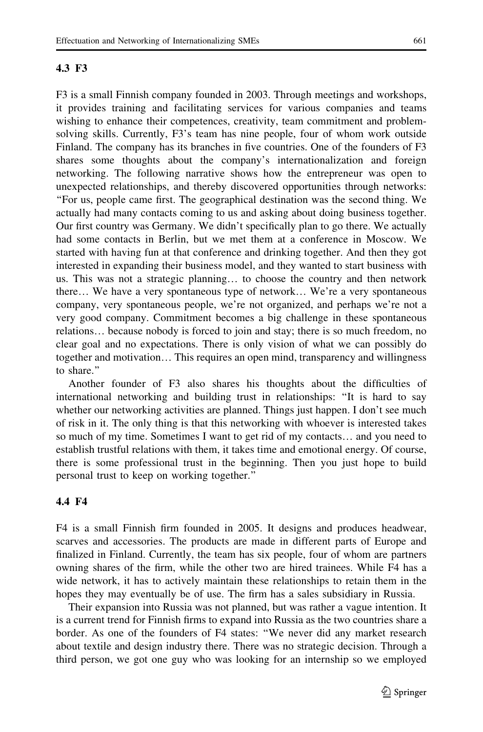### 4.3 F3

F3 is a small Finnish company founded in 2003. Through meetings and workshops, it provides training and facilitating services for various companies and teams wishing to enhance their competences, creativity, team commitment and problemsolving skills. Currently, F3's team has nine people, four of whom work outside Finland. The company has its branches in five countries. One of the founders of F3 shares some thoughts about the company's internationalization and foreign networking. The following narrative shows how the entrepreneur was open to unexpected relationships, and thereby discovered opportunities through networks: ''For us, people came first. The geographical destination was the second thing. We actually had many contacts coming to us and asking about doing business together. Our first country was Germany. We didn't specifically plan to go there. We actually had some contacts in Berlin, but we met them at a conference in Moscow. We started with having fun at that conference and drinking together. And then they got interested in expanding their business model, and they wanted to start business with us. This was not a strategic planning… to choose the country and then network there… We have a very spontaneous type of network… We're a very spontaneous company, very spontaneous people, we're not organized, and perhaps we're not a very good company. Commitment becomes a big challenge in these spontaneous relations… because nobody is forced to join and stay; there is so much freedom, no clear goal and no expectations. There is only vision of what we can possibly do together and motivation… This requires an open mind, transparency and willingness to share.''

Another founder of F3 also shares his thoughts about the difficulties of international networking and building trust in relationships: ''It is hard to say whether our networking activities are planned. Things just happen. I don't see much of risk in it. The only thing is that this networking with whoever is interested takes so much of my time. Sometimes I want to get rid of my contacts… and you need to establish trustful relations with them, it takes time and emotional energy. Of course, there is some professional trust in the beginning. Then you just hope to build personal trust to keep on working together.''

### 4.4 F4

F4 is a small Finnish firm founded in 2005. It designs and produces headwear, scarves and accessories. The products are made in different parts of Europe and finalized in Finland. Currently, the team has six people, four of whom are partners owning shares of the firm, while the other two are hired trainees. While F4 has a wide network, it has to actively maintain these relationships to retain them in the hopes they may eventually be of use. The firm has a sales subsidiary in Russia.

Their expansion into Russia was not planned, but was rather a vague intention. It is a current trend for Finnish firms to expand into Russia as the two countries share a border. As one of the founders of F4 states: ''We never did any market research about textile and design industry there. There was no strategic decision. Through a third person, we got one guy who was looking for an internship so we employed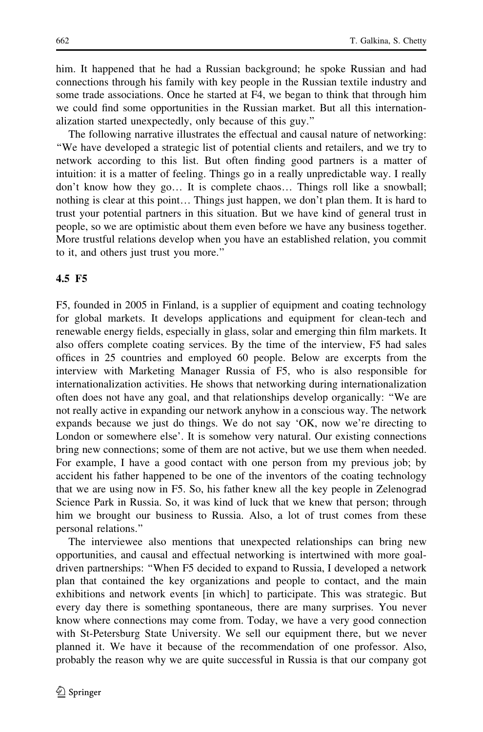him. It happened that he had a Russian background; he spoke Russian and had connections through his family with key people in the Russian textile industry and some trade associations. Once he started at F4, we began to think that through him we could find some opportunities in the Russian market. But all this internationalization started unexpectedly, only because of this guy.''

The following narrative illustrates the effectual and causal nature of networking: ''We have developed a strategic list of potential clients and retailers, and we try to network according to this list. But often finding good partners is a matter of intuition: it is a matter of feeling. Things go in a really unpredictable way. I really don't know how they go… It is complete chaos… Things roll like a snowball; nothing is clear at this point… Things just happen, we don't plan them. It is hard to trust your potential partners in this situation. But we have kind of general trust in people, so we are optimistic about them even before we have any business together. More trustful relations develop when you have an established relation, you commit to it, and others just trust you more.''

#### 4.5 F5

F5, founded in 2005 in Finland, is a supplier of equipment and coating technology for global markets. It develops applications and equipment for clean-tech and renewable energy fields, especially in glass, solar and emerging thin film markets. It also offers complete coating services. By the time of the interview, F5 had sales offices in 25 countries and employed 60 people. Below are excerpts from the interview with Marketing Manager Russia of F5, who is also responsible for internationalization activities. He shows that networking during internationalization often does not have any goal, and that relationships develop organically: ''We are not really active in expanding our network anyhow in a conscious way. The network expands because we just do things. We do not say 'OK, now we're directing to London or somewhere else'. It is somehow very natural. Our existing connections bring new connections; some of them are not active, but we use them when needed. For example, I have a good contact with one person from my previous job; by accident his father happened to be one of the inventors of the coating technology that we are using now in F5. So, his father knew all the key people in Zelenograd Science Park in Russia. So, it was kind of luck that we knew that person; through him we brought our business to Russia. Also, a lot of trust comes from these personal relations.''

The interviewee also mentions that unexpected relationships can bring new opportunities, and causal and effectual networking is intertwined with more goaldriven partnerships: ''When F5 decided to expand to Russia, I developed a network plan that contained the key organizations and people to contact, and the main exhibitions and network events [in which] to participate. This was strategic. But every day there is something spontaneous, there are many surprises. You never know where connections may come from. Today, we have a very good connection with St-Petersburg State University. We sell our equipment there, but we never planned it. We have it because of the recommendation of one professor. Also, probably the reason why we are quite successful in Russia is that our company got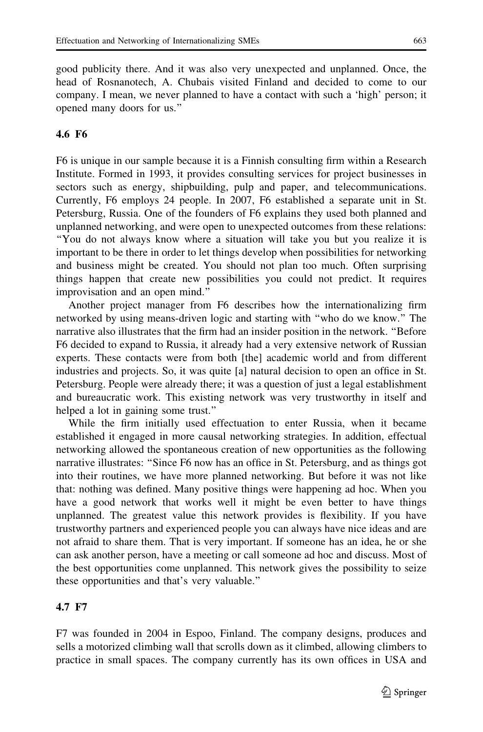good publicity there. And it was also very unexpected and unplanned. Once, the head of Rosnanotech, A. Chubais visited Finland and decided to come to our company. I mean, we never planned to have a contact with such a 'high' person; it opened many doors for us.''

# 4.6 F6

F6 is unique in our sample because it is a Finnish consulting firm within a Research Institute. Formed in 1993, it provides consulting services for project businesses in sectors such as energy, shipbuilding, pulp and paper, and telecommunications. Currently, F6 employs 24 people. In 2007, F6 established a separate unit in St. Petersburg, Russia. One of the founders of F6 explains they used both planned and unplanned networking, and were open to unexpected outcomes from these relations: ''You do not always know where a situation will take you but you realize it is important to be there in order to let things develop when possibilities for networking and business might be created. You should not plan too much. Often surprising things happen that create new possibilities you could not predict. It requires improvisation and an open mind.''

Another project manager from F6 describes how the internationalizing firm networked by using means-driven logic and starting with ''who do we know.'' The narrative also illustrates that the firm had an insider position in the network. ''Before F6 decided to expand to Russia, it already had a very extensive network of Russian experts. These contacts were from both [the] academic world and from different industries and projects. So, it was quite [a] natural decision to open an office in St. Petersburg. People were already there; it was a question of just a legal establishment and bureaucratic work. This existing network was very trustworthy in itself and helped a lot in gaining some trust.''

While the firm initially used effectuation to enter Russia, when it became established it engaged in more causal networking strategies. In addition, effectual networking allowed the spontaneous creation of new opportunities as the following narrative illustrates: "Since F6 now has an office in St. Petersburg, and as things got into their routines, we have more planned networking. But before it was not like that: nothing was defined. Many positive things were happening ad hoc. When you have a good network that works well it might be even better to have things unplanned. The greatest value this network provides is flexibility. If you have trustworthy partners and experienced people you can always have nice ideas and are not afraid to share them. That is very important. If someone has an idea, he or she can ask another person, have a meeting or call someone ad hoc and discuss. Most of the best opportunities come unplanned. This network gives the possibility to seize these opportunities and that's very valuable.''

### 4.7 F7

F7 was founded in 2004 in Espoo, Finland. The company designs, produces and sells a motorized climbing wall that scrolls down as it climbed, allowing climbers to practice in small spaces. The company currently has its own offices in USA and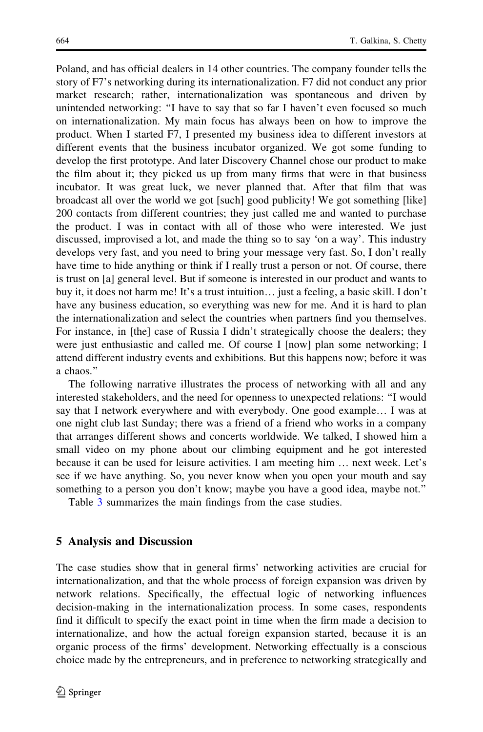Poland, and has official dealers in 14 other countries. The company founder tells the story of F7's networking during its internationalization. F7 did not conduct any prior market research; rather, internationalization was spontaneous and driven by unintended networking: ''I have to say that so far I haven't even focused so much on internationalization. My main focus has always been on how to improve the product. When I started F7, I presented my business idea to different investors at different events that the business incubator organized. We got some funding to develop the first prototype. And later Discovery Channel chose our product to make the film about it; they picked us up from many firms that were in that business incubator. It was great luck, we never planned that. After that film that was broadcast all over the world we got [such] good publicity! We got something [like] 200 contacts from different countries; they just called me and wanted to purchase the product. I was in contact with all of those who were interested. We just discussed, improvised a lot, and made the thing so to say 'on a way'. This industry develops very fast, and you need to bring your message very fast. So, I don't really have time to hide anything or think if I really trust a person or not. Of course, there is trust on [a] general level. But if someone is interested in our product and wants to buy it, it does not harm me! It's a trust intuition… just a feeling, a basic skill. I don't have any business education, so everything was new for me. And it is hard to plan the internationalization and select the countries when partners find you themselves. For instance, in [the] case of Russia I didn't strategically choose the dealers; they were just enthusiastic and called me. Of course I [now] plan some networking; I attend different industry events and exhibitions. But this happens now; before it was a chaos.''

The following narrative illustrates the process of networking with all and any interested stakeholders, and the need for openness to unexpected relations: ''I would say that I network everywhere and with everybody. One good example… I was at one night club last Sunday; there was a friend of a friend who works in a company that arranges different shows and concerts worldwide. We talked, I showed him a small video on my phone about our climbing equipment and he got interested because it can be used for leisure activities. I am meeting him … next week. Let's see if we have anything. So, you never know when you open your mouth and say something to a person you don't know; maybe you have a good idea, maybe not.''

Table [3](#page-18-0) summarizes the main findings from the case studies.

# 5 Analysis and Discussion

The case studies show that in general firms' networking activities are crucial for internationalization, and that the whole process of foreign expansion was driven by network relations. Specifically, the effectual logic of networking influences decision-making in the internationalization process. In some cases, respondents find it difficult to specify the exact point in time when the firm made a decision to internationalize, and how the actual foreign expansion started, because it is an organic process of the firms' development. Networking effectually is a conscious choice made by the entrepreneurs, and in preference to networking strategically and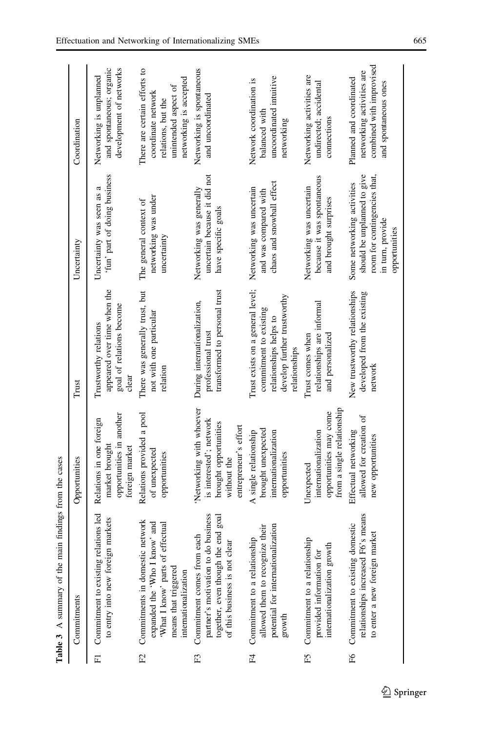|    | Table 3 A summary of the m                                                                                                                              | ain findings from the cases                                                                                         |                                                                                                                                      |                                                                                                                                |                                                                                                                            |
|----|---------------------------------------------------------------------------------------------------------------------------------------------------------|---------------------------------------------------------------------------------------------------------------------|--------------------------------------------------------------------------------------------------------------------------------------|--------------------------------------------------------------------------------------------------------------------------------|----------------------------------------------------------------------------------------------------------------------------|
|    | Commitments                                                                                                                                             | Opportunities                                                                                                       | Trust                                                                                                                                | Uncertainty                                                                                                                    | Coordination                                                                                                               |
| Ē  | Commitment to existing relations led<br>to entry into new foreign markets                                                                               | opportunities in another<br>Relations in one foreign<br>market brought<br>foreign market                            | appeared over time when the<br>goal of relations become<br>Trustworthy relations<br>clear                                            | 'fun' part of doing business<br>Uncertainty was seen as a                                                                      | development of networks<br>and spontaneous; organic<br>Networking is unplanned                                             |
| E  | Commitments in domestic network<br>expanded the 'Who I know' and<br>effectual<br>'What I know' parts of<br>means that triggered<br>internationalization | Relations provided a pool<br>of unexpected<br>opportunities                                                         | There was generally trust, but<br>not with one particular<br>relation                                                                | networking was under<br>The general context of<br>uncertainty                                                                  | There are certain efforts to<br>networking is accepted<br>unintended aspect of<br>coordinate network<br>relations, but the |
| E  | partner's motivation to do business<br>together, even though the end goal<br>Commitment comes from each<br>of this business is not clear                | Networking with whoever<br>is interested'; network<br>brought opportunities<br>entrepreneur's effort<br>without the | transformed to personal trust<br>During internationalization,<br>professional trust                                                  | uncertain because it did not<br>Networking was generally<br>have specific goals                                                | Networking is spontaneous<br>and uncoordinated                                                                             |
| E4 | potential for internationalization<br>allowed them to recognize their<br>Commitment to a relationship<br>growth                                         | brought unexpected<br>internationalization<br>A single relationship<br>opportunities                                | Trust exists on a general level;<br>develop further trustworthy<br>commitment to existing<br>relationships helps to<br>relationships | chaos and snowball effect<br>Networking was uncertain<br>and was compared with                                                 | uncoordinated intuitive<br>Network coordination is<br>balanced with<br>networking                                          |
| Е5 | Commitment to a relationship<br>internationalization growth<br>provided information for                                                                 | from a single relationship<br>opportunities may come<br>internationalization<br>Unexpected                          | relationships are informal<br>Trust comes when<br>and personalized                                                                   | because it was spontaneous<br>Networking was uncertain<br>and brought surprises                                                | Networking activities are<br>undirected; accidental<br>connections                                                         |
| Ě  | F6's means<br>Commitment to existing domestic<br>to enter a new foreign market<br>relationships increased                                               | allowed for creation of<br>Effectual networking<br>new opportunities                                                | New trustworthy relationships<br>developed from the existing<br>network                                                              | should be unplanned to give<br>room for contingencies that,<br>Some networking activities<br>in turn, provide<br>opportunities | combined with improvised<br>networking activities are<br>Planned and coordinated<br>and spontaneous ones                   |

<span id="page-18-0"></span>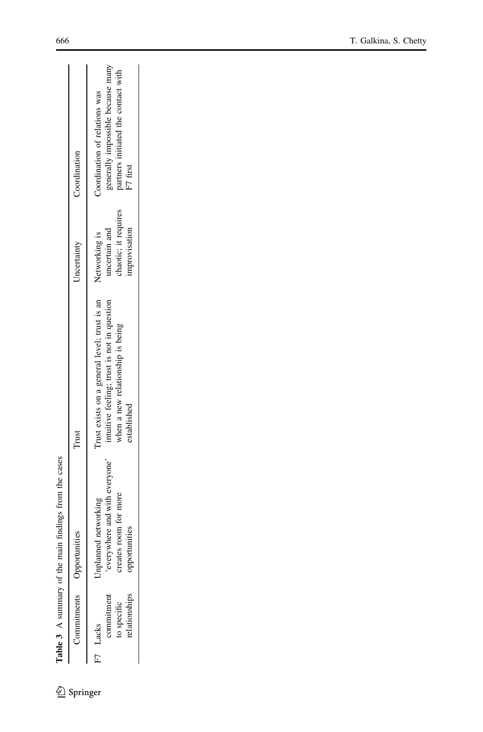| partners initiated the contact with<br>Coordination of relations was<br>Coordination<br>F7 first<br>chaotic; it requires<br>uncertain and<br>improvisation<br>Networking is<br>Uncertainty<br>Trust exists on a general level; trust is an<br>intuitive feeling; trust is not in question<br>when a new relationship is being<br>established<br>Trust<br>everywhere and with everyone'<br>creates room for more<br>Unplanned networking<br>opportunities<br>Commitments Opportunities<br>elationships<br>ommitment<br>o specific<br>F7 Lacks |  | Table 3 A summary of the main findings from the cases |  |                                   |
|----------------------------------------------------------------------------------------------------------------------------------------------------------------------------------------------------------------------------------------------------------------------------------------------------------------------------------------------------------------------------------------------------------------------------------------------------------------------------------------------------------------------------------------------|--|-------------------------------------------------------|--|-----------------------------------|
|                                                                                                                                                                                                                                                                                                                                                                                                                                                                                                                                              |  |                                                       |  |                                   |
|                                                                                                                                                                                                                                                                                                                                                                                                                                                                                                                                              |  |                                                       |  | generally impossible because many |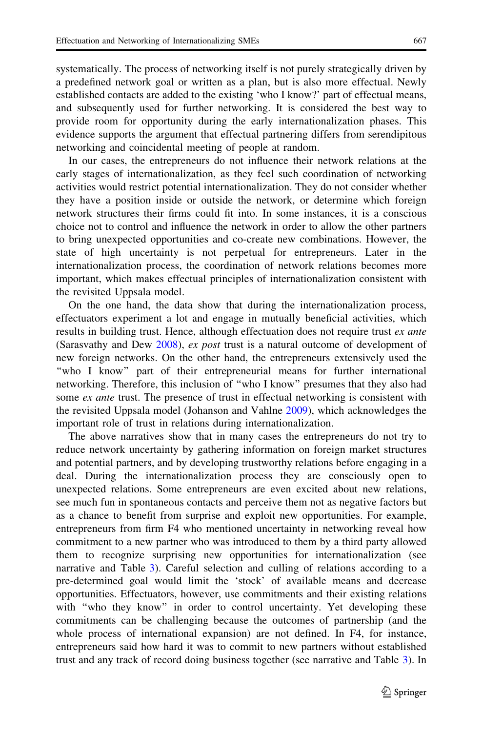systematically. The process of networking itself is not purely strategically driven by a predefined network goal or written as a plan, but is also more effectual. Newly established contacts are added to the existing 'who I know?' part of effectual means, and subsequently used for further networking. It is considered the best way to provide room for opportunity during the early internationalization phases. This evidence supports the argument that effectual partnering differs from serendipitous networking and coincidental meeting of people at random.

In our cases, the entrepreneurs do not influence their network relations at the early stages of internationalization, as they feel such coordination of networking activities would restrict potential internationalization. They do not consider whether they have a position inside or outside the network, or determine which foreign network structures their firms could fit into. In some instances, it is a conscious choice not to control and influence the network in order to allow the other partners to bring unexpected opportunities and co-create new combinations. However, the state of high uncertainty is not perpetual for entrepreneurs. Later in the internationalization process, the coordination of network relations becomes more important, which makes effectual principles of internationalization consistent with the revisited Uppsala model.

On the one hand, the data show that during the internationalization process, effectuators experiment a lot and engage in mutually beneficial activities, which results in building trust. Hence, although effectuation does not require trust ex ante (Sarasvathy and Dew [2008](#page-28-0)), ex post trust is a natural outcome of development of new foreign networks. On the other hand, the entrepreneurs extensively used the "who I know" part of their entrepreneurial means for further international networking. Therefore, this inclusion of ''who I know'' presumes that they also had some *ex ante* trust. The presence of trust in effectual networking is consistent with the revisited Uppsala model (Johanson and Vahlne [2009](#page-27-0)), which acknowledges the important role of trust in relations during internationalization.

The above narratives show that in many cases the entrepreneurs do not try to reduce network uncertainty by gathering information on foreign market structures and potential partners, and by developing trustworthy relations before engaging in a deal. During the internationalization process they are consciously open to unexpected relations. Some entrepreneurs are even excited about new relations, see much fun in spontaneous contacts and perceive them not as negative factors but as a chance to benefit from surprise and exploit new opportunities. For example, entrepreneurs from firm F4 who mentioned uncertainty in networking reveal how commitment to a new partner who was introduced to them by a third party allowed them to recognize surprising new opportunities for internationalization (see narrative and Table [3\)](#page-18-0). Careful selection and culling of relations according to a pre-determined goal would limit the 'stock' of available means and decrease opportunities. Effectuators, however, use commitments and their existing relations with "who they know" in order to control uncertainty. Yet developing these commitments can be challenging because the outcomes of partnership (and the whole process of international expansion) are not defined. In F4, for instance, entrepreneurs said how hard it was to commit to new partners without established trust and any track of record doing business together (see narrative and Table [3](#page-18-0)). In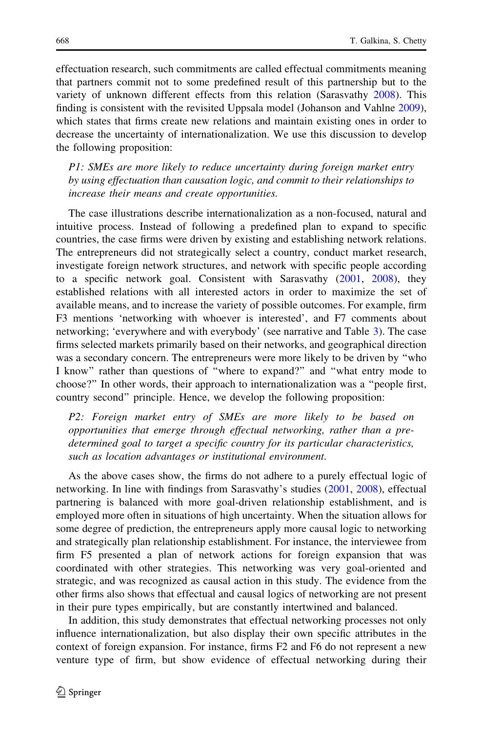effectuation research, such commitments are called effectual commitments meaning that partners commit not to some predefined result of this partnership but to the variety of unknown different effects from this relation (Sarasvathy [2008\)](#page-28-0). This finding is consistent with the revisited Uppsala model (Johanson and Vahlne [2009\)](#page-27-0), which states that firms create new relations and maintain existing ones in order to decrease the uncertainty of internationalization. We use this discussion to develop the following proposition:

P1: SMEs are more likely to reduce uncertainty during foreign market entry by using effectuation than causation logic, and commit to their relationships to increase their means and create opportunities.

The case illustrations describe internationalization as a non-focused, natural and intuitive process. Instead of following a predefined plan to expand to specific countries, the case firms were driven by existing and establishing network relations. The entrepreneurs did not strategically select a country, conduct market research, investigate foreign network structures, and network with specific people according to a specific network goal. Consistent with Sarasvathy ([2001,](#page-28-0) [2008](#page-28-0)), they established relations with all interested actors in order to maximize the set of available means, and to increase the variety of possible outcomes. For example, firm F3 mentions 'networking with whoever is interested', and F7 comments about networking; 'everywhere and with everybody' (see narrative and Table [3\)](#page-18-0). The case firms selected markets primarily based on their networks, and geographical direction was a secondary concern. The entrepreneurs were more likely to be driven by ''who I know'' rather than questions of ''where to expand?'' and ''what entry mode to choose?'' In other words, their approach to internationalization was a ''people first, country second'' principle. Hence, we develop the following proposition:

P2: Foreign market entry of SMEs are more likely to be based on opportunities that emerge through effectual networking, rather than a predetermined goal to target a specific country for its particular characteristics, such as location advantages or institutional environment.

As the above cases show, the firms do not adhere to a purely effectual logic of networking. In line with findings from Sarasvathy's studies ([2001,](#page-28-0) [2008](#page-28-0)), effectual partnering is balanced with more goal-driven relationship establishment, and is employed more often in situations of high uncertainty. When the situation allows for some degree of prediction, the entrepreneurs apply more causal logic to networking and strategically plan relationship establishment. For instance, the interviewee from firm F5 presented a plan of network actions for foreign expansion that was coordinated with other strategies. This networking was very goal-oriented and strategic, and was recognized as causal action in this study. The evidence from the other firms also shows that effectual and causal logics of networking are not present in their pure types empirically, but are constantly intertwined and balanced.

In addition, this study demonstrates that effectual networking processes not only influence internationalization, but also display their own specific attributes in the context of foreign expansion. For instance, firms F2 and F6 do not represent a new venture type of firm, but show evidence of effectual networking during their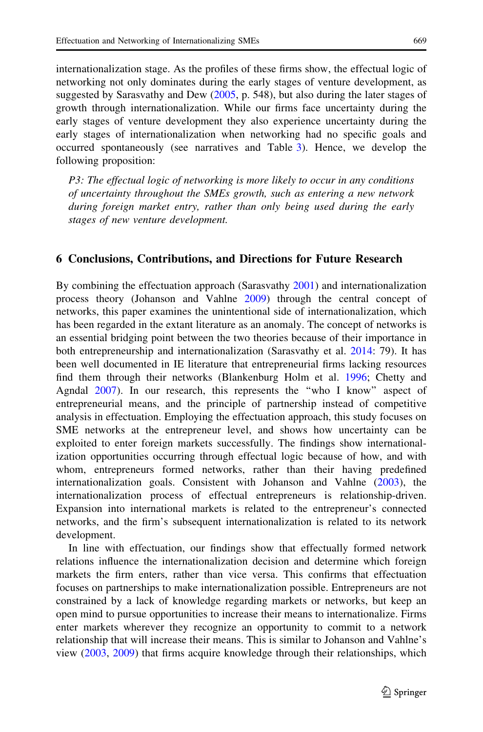internationalization stage. As the profiles of these firms show, the effectual logic of networking not only dominates during the early stages of venture development, as suggested by Sarasvathy and Dew ([2005,](#page-28-0) p. 548), but also during the later stages of growth through internationalization. While our firms face uncertainty during the early stages of venture development they also experience uncertainty during the early stages of internationalization when networking had no specific goals and occurred spontaneously (see narratives and Table [3\)](#page-18-0). Hence, we develop the following proposition:

P3: The effectual logic of networking is more likely to occur in any conditions of uncertainty throughout the SMEs growth, such as entering a new network during foreign market entry, rather than only being used during the early stages of new venture development.

### 6 Conclusions, Contributions, and Directions for Future Research

By combining the effectuation approach (Sarasvathy [2001\)](#page-28-0) and internationalization process theory (Johanson and Vahlne [2009\)](#page-27-0) through the central concept of networks, this paper examines the unintentional side of internationalization, which has been regarded in the extant literature as an anomaly. The concept of networks is an essential bridging point between the two theories because of their importance in both entrepreneurship and internationalization (Sarasvathy et al. [2014](#page-28-0): 79). It has been well documented in IE literature that entrepreneurial firms lacking resources find them through their networks (Blankenburg Holm et al. [1996](#page-26-0); Chetty and Agndal [2007](#page-26-0)). In our research, this represents the ''who I know'' aspect of entrepreneurial means, and the principle of partnership instead of competitive analysis in effectuation. Employing the effectuation approach, this study focuses on SME networks at the entrepreneur level, and shows how uncertainty can be exploited to enter foreign markets successfully. The findings show internationalization opportunities occurring through effectual logic because of how, and with whom, entrepreneurs formed networks, rather than their having predefined internationalization goals. Consistent with Johanson and Vahlne ([2003\)](#page-27-0), the internationalization process of effectual entrepreneurs is relationship-driven. Expansion into international markets is related to the entrepreneur's connected networks, and the firm's subsequent internationalization is related to its network development.

In line with effectuation, our findings show that effectually formed network relations influence the internationalization decision and determine which foreign markets the firm enters, rather than vice versa. This confirms that effectuation focuses on partnerships to make internationalization possible. Entrepreneurs are not constrained by a lack of knowledge regarding markets or networks, but keep an open mind to pursue opportunities to increase their means to internationalize. Firms enter markets wherever they recognize an opportunity to commit to a network relationship that will increase their means. This is similar to Johanson and Vahlne's view [\(2003](#page-27-0), [2009\)](#page-27-0) that firms acquire knowledge through their relationships, which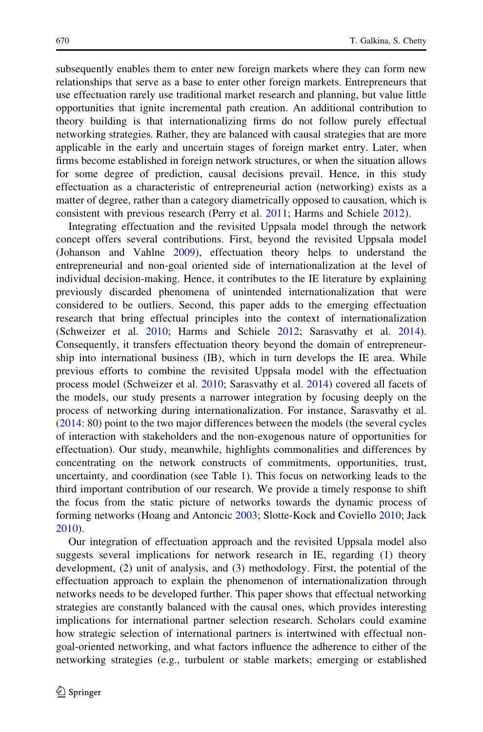subsequently enables them to enter new foreign markets where they can form new relationships that serve as a base to enter other foreign markets. Entrepreneurs that use effectuation rarely use traditional market research and planning, but value little opportunities that ignite incremental path creation. An additional contribution to theory building is that internationalizing firms do not follow purely effectual networking strategies. Rather, they are balanced with causal strategies that are more applicable in the early and uncertain stages of foreign market entry. Later, when firms become established in foreign network structures, or when the situation allows for some degree of prediction, causal decisions prevail. Hence, in this study effectuation as a characteristic of entrepreneurial action (networking) exists as a matter of degree, rather than a category diametrically opposed to causation, which is consistent with previous research (Perry et al. [2011;](#page-28-0) Harms and Schiele [2012\)](#page-27-0).

Integrating effectuation and the revisited Uppsala model through the network concept offers several contributions. First, beyond the revisited Uppsala model (Johanson and Vahlne [2009\)](#page-27-0), effectuation theory helps to understand the entrepreneurial and non-goal oriented side of internationalization at the level of individual decision-making. Hence, it contributes to the IE literature by explaining previously discarded phenomena of unintended internationalization that were considered to be outliers. Second, this paper adds to the emerging effectuation research that bring effectual principles into the context of internationalization (Schweizer et al. [2010;](#page-29-0) Harms and Schiele [2012;](#page-27-0) Sarasvathy et al. [2014\)](#page-28-0). Consequently, it transfers effectuation theory beyond the domain of entrepreneurship into international business (IB), which in turn develops the IE area. While previous efforts to combine the revisited Uppsala model with the effectuation process model (Schweizer et al. [2010](#page-29-0); Sarasvathy et al. [2014](#page-28-0)) covered all facets of the models, our study presents a narrower integration by focusing deeply on the process of networking during internationalization. For instance, Sarasvathy et al. [\(2014](#page-28-0): 80) point to the two major differences between the models (the several cycles of interaction with stakeholders and the non-exogenous nature of opportunities for effectuation). Our study, meanwhile, highlights commonalities and differences by concentrating on the network constructs of commitments, opportunities, trust, uncertainty, and coordination (see Table [1](#page-9-0)). This focus on networking leads to the third important contribution of our research. We provide a timely response to shift the focus from the static picture of networks towards the dynamic process of forming networks (Hoang and Antoncic [2003](#page-27-0); Slotte-Kock and Coviello [2010](#page-29-0); Jack [2010\)](#page-27-0).

Our integration of effectuation approach and the revisited Uppsala model also suggests several implications for network research in IE, regarding (1) theory development, (2) unit of analysis, and (3) methodology. First, the potential of the effectuation approach to explain the phenomenon of internationalization through networks needs to be developed further. This paper shows that effectual networking strategies are constantly balanced with the causal ones, which provides interesting implications for international partner selection research. Scholars could examine how strategic selection of international partners is intertwined with effectual nongoal-oriented networking, and what factors influence the adherence to either of the networking strategies (e.g., turbulent or stable markets; emerging or established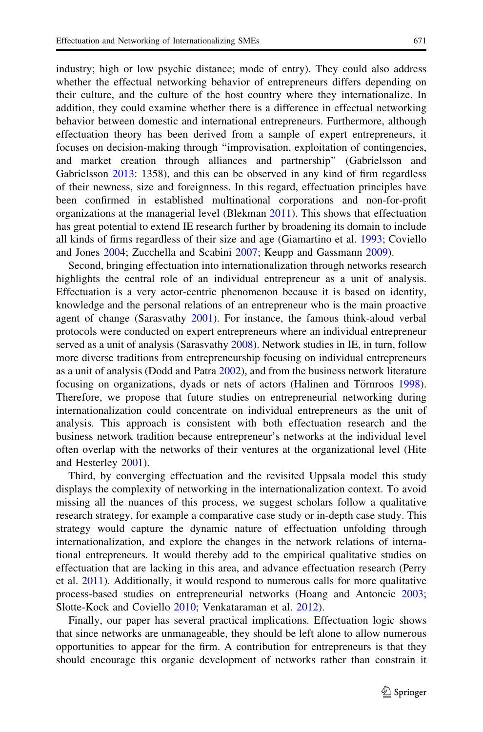industry; high or low psychic distance; mode of entry). They could also address whether the effectual networking behavior of entrepreneurs differs depending on their culture, and the culture of the host country where they internationalize. In addition, they could examine whether there is a difference in effectual networking behavior between domestic and international entrepreneurs. Furthermore, although effectuation theory has been derived from a sample of expert entrepreneurs, it focuses on decision-making through ''improvisation, exploitation of contingencies, and market creation through alliances and partnership'' (Gabrielsson and Gabrielsson [2013](#page-27-0): 1358), and this can be observed in any kind of firm regardless of their newness, size and foreignness. In this regard, effectuation principles have been confirmed in established multinational corporations and non-for-profit organizations at the managerial level (Blekman [2011](#page-26-0)). This shows that effectuation has great potential to extend IE research further by broadening its domain to include all kinds of firms regardless of their size and age (Giamartino et al. [1993;](#page-27-0) Coviello and Jones [2004](#page-26-0); Zucchella and Scabini [2007](#page-29-0); Keupp and Gassmann [2009](#page-27-0)).

Second, bringing effectuation into internationalization through networks research highlights the central role of an individual entrepreneur as a unit of analysis. Effectuation is a very actor-centric phenomenon because it is based on identity, knowledge and the personal relations of an entrepreneur who is the main proactive agent of change (Sarasvathy [2001](#page-28-0)). For instance, the famous think-aloud verbal protocols were conducted on expert entrepreneurs where an individual entrepreneur served as a unit of analysis (Sarasvathy [2008](#page-28-0)). Network studies in IE, in turn, follow more diverse traditions from entrepreneurship focusing on individual entrepreneurs as a unit of analysis (Dodd and Patra [2002](#page-26-0)), and from the business network literature focusing on organizations, dyads or nets of actors (Halinen and Törnroos [1998\)](#page-27-0). Therefore, we propose that future studies on entrepreneurial networking during internationalization could concentrate on individual entrepreneurs as the unit of analysis. This approach is consistent with both effectuation research and the business network tradition because entrepreneur's networks at the individual level often overlap with the networks of their ventures at the organizational level (Hite and Hesterley [2001](#page-27-0)).

Third, by converging effectuation and the revisited Uppsala model this study displays the complexity of networking in the internationalization context. To avoid missing all the nuances of this process, we suggest scholars follow a qualitative research strategy, for example a comparative case study or in-depth case study. This strategy would capture the dynamic nature of effectuation unfolding through internationalization, and explore the changes in the network relations of international entrepreneurs. It would thereby add to the empirical qualitative studies on effectuation that are lacking in this area, and advance effectuation research (Perry et al. [2011\)](#page-28-0). Additionally, it would respond to numerous calls for more qualitative process-based studies on entrepreneurial networks (Hoang and Antoncic [2003;](#page-27-0) Slotte-Kock and Coviello [2010](#page-29-0); Venkataraman et al. [2012\)](#page-29-0).

Finally, our paper has several practical implications. Effectuation logic shows that since networks are unmanageable, they should be left alone to allow numerous opportunities to appear for the firm. A contribution for entrepreneurs is that they should encourage this organic development of networks rather than constrain it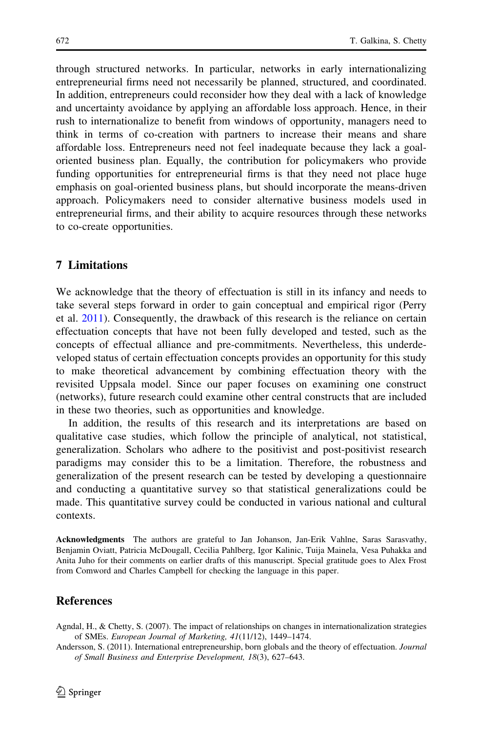<span id="page-25-0"></span>through structured networks. In particular, networks in early internationalizing entrepreneurial firms need not necessarily be planned, structured, and coordinated. In addition, entrepreneurs could reconsider how they deal with a lack of knowledge and uncertainty avoidance by applying an affordable loss approach. Hence, in their rush to internationalize to benefit from windows of opportunity, managers need to think in terms of co-creation with partners to increase their means and share affordable loss. Entrepreneurs need not feel inadequate because they lack a goaloriented business plan. Equally, the contribution for policymakers who provide funding opportunities for entrepreneurial firms is that they need not place huge emphasis on goal-oriented business plans, but should incorporate the means-driven approach. Policymakers need to consider alternative business models used in entrepreneurial firms, and their ability to acquire resources through these networks to co-create opportunities.

# 7 Limitations

We acknowledge that the theory of effectuation is still in its infancy and needs to take several steps forward in order to gain conceptual and empirical rigor (Perry et al. [2011](#page-28-0)). Consequently, the drawback of this research is the reliance on certain effectuation concepts that have not been fully developed and tested, such as the concepts of effectual alliance and pre-commitments. Nevertheless, this underdeveloped status of certain effectuation concepts provides an opportunity for this study to make theoretical advancement by combining effectuation theory with the revisited Uppsala model. Since our paper focuses on examining one construct (networks), future research could examine other central constructs that are included in these two theories, such as opportunities and knowledge.

In addition, the results of this research and its interpretations are based on qualitative case studies, which follow the principle of analytical, not statistical, generalization. Scholars who adhere to the positivist and post-positivist research paradigms may consider this to be a limitation. Therefore, the robustness and generalization of the present research can be tested by developing a questionnaire and conducting a quantitative survey so that statistical generalizations could be made. This quantitative survey could be conducted in various national and cultural contexts.

Acknowledgments The authors are grateful to Jan Johanson, Jan-Erik Vahlne, Saras Sarasvathy, Benjamin Oviatt, Patricia McDougall, Cecilia Pahlberg, Igor Kalinic, Tuija Mainela, Vesa Puhakka and Anita Juho for their comments on earlier drafts of this manuscript. Special gratitude goes to Alex Frost from Comword and Charles Campbell for checking the language in this paper.

# References

- Agndal, H., & Chetty, S. (2007). The impact of relationships on changes in internationalization strategies of SMEs. European Journal of Marketing, 41(11/12), 1449–1474.
- Andersson, S. (2011). International entrepreneurship, born globals and the theory of effectuation. Journal of Small Business and Enterprise Development, 18(3), 627–643.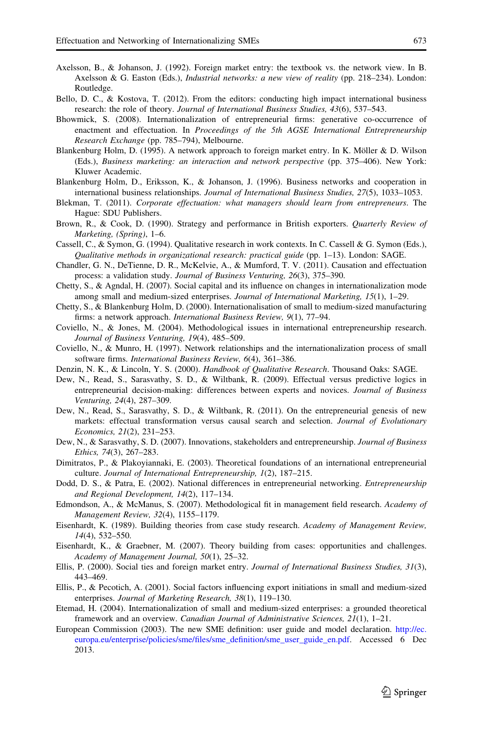- <span id="page-26-0"></span>Axelsson, B., & Johanson, J. (1992). Foreign market entry: the textbook vs. the network view. In B. Axelsson & G. Easton (Eds.), Industrial networks: a new view of reality (pp. 218–234). London: Routledge.
- Bello, D. C., & Kostova, T. (2012). From the editors: conducting high impact international business research: the role of theory. Journal of International Business Studies, 43(6), 537–543.
- Bhowmick, S. (2008). Internationalization of entrepreneurial firms: generative co-occurrence of enactment and effectuation. In Proceedings of the 5th AGSE International Entrepreneurship Research Exchange (pp. 785–794), Melbourne.
- Blankenburg Holm, D. (1995). A network approach to foreign market entry. In K. Möller  $&$  D. Wilson (Eds.), Business marketing: an interaction and network perspective (pp. 375–406). New York: Kluwer Academic.
- Blankenburg Holm, D., Eriksson, K., & Johanson, J. (1996). Business networks and cooperation in international business relationships. Journal of International Business Studies, 27(5), 1033–1053.
- Blekman, T. (2011). Corporate effectuation: what managers should learn from entrepreneurs. The Hague: SDU Publishers.
- Brown, R., & Cook, D. (1990). Strategy and performance in British exporters. Quarterly Review of Marketing, (Spring), 1–6.
- Cassell, C., & Symon, G. (1994). Qualitative research in work contexts. In C. Cassell & G. Symon (Eds.), Qualitative methods in organizational research: practical guide (pp. 1–13). London: SAGE.
- Chandler, G. N., DeTienne, D. R., McKelvie, A., & Mumford, T. V. (2011). Causation and effectuation process: a validation study. Journal of Business Venturing, 26(3), 375–390.
- Chetty, S., & Agndal, H. (2007). Social capital and its influence on changes in internationalization mode among small and medium-sized enterprises. Journal of International Marketing, 15(1), 1–29.
- Chetty, S., & Blankenburg Holm, D. (2000). Internationalisation of small to medium-sized manufacturing firms: a network approach. International Business Review, 9(1), 77–94.
- Coviello, N., & Jones, M. (2004). Methodological issues in international entrepreneurship research. Journal of Business Venturing, 19(4), 485–509.
- Coviello, N., & Munro, H. (1997). Network relationships and the internationalization process of small software firms. International Business Review, 6(4), 361–386.
- Denzin, N. K., & Lincoln, Y. S. (2000). Handbook of Qualitative Research. Thousand Oaks: SAGE.
- Dew, N., Read, S., Sarasvathy, S. D., & Wiltbank, R. (2009). Effectual versus predictive logics in entrepreneurial decision-making: differences between experts and novices. Journal of Business Venturing, 24(4), 287–309.
- Dew, N., Read, S., Sarasvathy, S. D., & Wiltbank, R. (2011). On the entrepreneurial genesis of new markets: effectual transformation versus causal search and selection. Journal of Evolutionary Economics, 21(2), 231–253.
- Dew, N., & Sarasvathy, S. D. (2007). Innovations, stakeholders and entrepreneurship. Journal of Business Ethics, 74(3), 267–283.
- Dimitratos, P., & Plakoyiannaki, E. (2003). Theoretical foundations of an international entrepreneurial culture. Journal of International Entrepreneurship, 1(2), 187–215.
- Dodd, D. S., & Patra, E. (2002). National differences in entrepreneurial networking. Entrepreneurship and Regional Development, 14(2), 117–134.
- Edmondson, A., & McManus, S. (2007). Methodological fit in management field research. Academy of Management Review, 32(4), 1155–1179.
- Eisenhardt, K. (1989). Building theories from case study research. Academy of Management Review, 14(4), 532–550.
- Eisenhardt, K., & Graebner, M. (2007). Theory building from cases: opportunities and challenges. Academy of Management Journal, 50(1), 25–32.
- Ellis, P. (2000). Social ties and foreign market entry. Journal of International Business Studies, 31(3), 443–469.
- Ellis, P., & Pecotich, A. (2001). Social factors influencing export initiations in small and medium-sized enterprises. Journal of Marketing Research, 38(1), 119–130.
- Etemad, H. (2004). Internationalization of small and medium-sized enterprises: a grounded theoretical framework and an overview. Canadian Journal of Administrative Sciences, 21(1), 1–21.
- European Commission (2003). The new SME definition: user guide and model declaration. [http://ec.](http://ec.europa.eu/enterprise/policies/sme/files/sme_definition/sme_user_guide_en.pdf) [europa.eu/enterprise/policies/sme/files/sme\\_definition/sme\\_user\\_guide\\_en.pdf](http://ec.europa.eu/enterprise/policies/sme/files/sme_definition/sme_user_guide_en.pdf). Accessed 6 Dec 2013.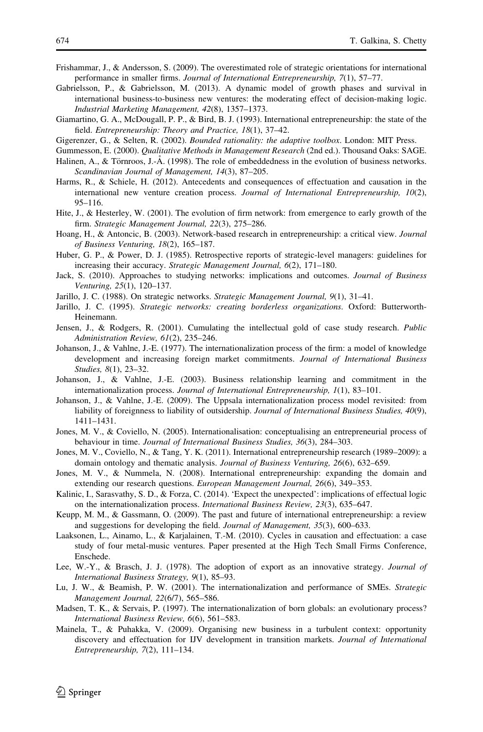- <span id="page-27-0"></span>Frishammar, J., & Andersson, S. (2009). The overestimated role of strategic orientations for international performance in smaller firms. Journal of International Entrepreneurship, 7(1), 57–77.
- Gabrielsson, P., & Gabrielsson, M. (2013). A dynamic model of growth phases and survival in international business-to-business new ventures: the moderating effect of decision-making logic. Industrial Marketing Management, 42(8), 1357–1373.
- Giamartino, G. A., McDougall, P. P., & Bird, B. J. (1993). International entrepreneurship: the state of the field. Entrepreneurship: Theory and Practice, 18(1), 37–42.
- Gigerenzer, G., & Selten, R. (2002). Bounded rationality: the adaptive toolbox. London: MIT Press.
- Gummesson, E. (2000). Qualitative Methods in Management Research (2nd ed.). Thousand Oaks: SAGE.
- Halinen, A., & Törnroos, J.-Å. (1998). The role of embeddedness in the evolution of business networks. Scandinavian Journal of Management, 14(3), 87–205.
- Harms, R., & Schiele, H. (2012). Antecedents and consequences of effectuation and causation in the international new venture creation process. Journal of International Entrepreneurship, 10(2), 95–116.
- Hite, J., & Hesterley, W. (2001). The evolution of firm network: from emergence to early growth of the firm. Strategic Management Journal, 22(3), 275–286.
- Hoang, H., & Antoncic, B. (2003). Network-based research in entrepreneurship: a critical view. Journal of Business Venturing, 18(2), 165–187.
- Huber, G. P., & Power, D. J. (1985). Retrospective reports of strategic-level managers: guidelines for increasing their accuracy. Strategic Management Journal, 6(2), 171–180.
- Jack, S. (2010). Approaches to studying networks: implications and outcomes. Journal of Business Venturing, 25(1), 120–137.
- Jarillo, J. C. (1988). On strategic networks. Strategic Management Journal, 9(1), 31–41.
- Jarillo, J. C. (1995). Strategic networks: creating borderless organizations. Oxford: Butterworth-Heinemann.
- Jensen, J., & Rodgers, R. (2001). Cumulating the intellectual gold of case study research. Public Administration Review, 61(2), 235–246.
- Johanson, J., & Vahlne, J.-E. (1977). The internationalization process of the firm: a model of knowledge development and increasing foreign market commitments. Journal of International Business Studies, 8(1), 23–32.
- Johanson, J., & Vahlne, J.-E. (2003). Business relationship learning and commitment in the internationalization process. Journal of International Entrepreneurship, 1(1), 83–101.
- Johanson, J., & Vahlne, J.-E. (2009). The Uppsala internationalization process model revisited: from liability of foreignness to liability of outsidership. Journal of International Business Studies, 40(9), 1411–1431.
- Jones, M. V., & Coviello, N. (2005). Internationalisation: conceptualising an entrepreneurial process of behaviour in time. Journal of International Business Studies, 36(3), 284–303.
- Jones, M. V., Coviello, N., & Tang, Y. K. (2011). International entrepreneurship research (1989–2009): a domain ontology and thematic analysis. Journal of Business Venturing, 26(6), 632–659.
- Jones, M. V., & Nummela, N. (2008). International entrepreneurship: expanding the domain and extending our research questions. European Management Journal, 26(6), 349–353.
- Kalinic, I., Sarasvathy, S. D., & Forza, C. (2014). 'Expect the unexpected': implications of effectual logic on the internationalization process. International Business Review, 23(3), 635–647.
- Keupp, M. M., & Gassmann, O. (2009). The past and future of international entrepreneurship: a review and suggestions for developing the field. Journal of Management, 35(3), 600–633.
- Laaksonen, L., Ainamo, L., & Karjalainen, T.-M. (2010). Cycles in causation and effectuation: a case study of four metal-music ventures. Paper presented at the High Tech Small Firms Conference, Enschede.
- Lee, W.-Y., & Brasch, J. J. (1978). The adoption of export as an innovative strategy. Journal of International Business Strategy, 9(1), 85–93.
- Lu, J. W., & Beamish, P. W. (2001). The internationalization and performance of SMEs. Strategic Management Journal, 22(6/7), 565–586.
- Madsen, T. K., & Servais, P. (1997). The internationalization of born globals: an evolutionary process? International Business Review, 6(6), 561–583.
- Mainela, T., & Puhakka, V. (2009). Organising new business in a turbulent context: opportunity discovery and effectuation for IJV development in transition markets. Journal of International Entrepreneurship, 7(2), 111–134.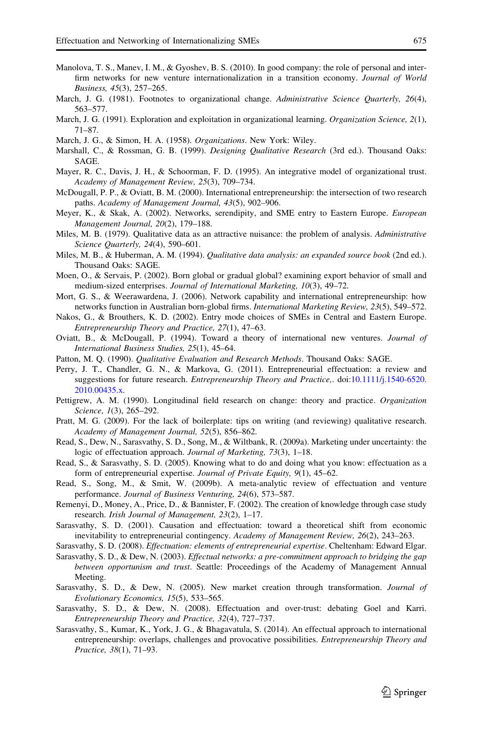- <span id="page-28-0"></span>Manolova, T. S., Manev, I. M., & Gyoshev, B. S. (2010). In good company: the role of personal and interfirm networks for new venture internationalization in a transition economy. Journal of World Business, 45(3), 257–265.
- March, J. G. (1981). Footnotes to organizational change. Administrative Science Quarterly, 26(4), 563–577.
- March, J. G. (1991). Exploration and exploitation in organizational learning. Organization Science, 2(1), 71–87.
- March, J. G., & Simon, H. A. (1958). Organizations. New York: Wiley.
- Marshall, C., & Rossman, G. B. (1999). *Designing Qualitative Research* (3rd ed.). Thousand Oaks: SAGE.
- Mayer, R. C., Davis, J. H., & Schoorman, F. D. (1995). An integrative model of organizational trust. Academy of Management Review, 25(3), 709–734.
- McDougall, P. P., & Oviatt, B. M. (2000). International entrepreneurship: the intersection of two research paths. Academy of Management Journal, 43(5), 902–906.
- Meyer, K., & Skak, A. (2002). Networks, serendipity, and SME entry to Eastern Europe. European Management Journal, 20(2), 179–188.
- Miles, M. B. (1979). Qualitative data as an attractive nuisance: the problem of analysis. Administrative Science Quarterly, 24(4), 590-601.
- Miles, M. B., & Huberman, A. M. (1994). *Qualitative data analysis: an expanded source book* (2nd ed.). Thousand Oaks: SAGE.
- Moen, O., & Servais, P. (2002). Born global or gradual global? examining export behavior of small and medium-sized enterprises. Journal of International Marketing, 10(3), 49–72.
- Mort, G. S., & Weerawardena, J. (2006). Network capability and international entrepreneurship: how networks function in Australian born-global firms. International Marketing Review, 23(5), 549–572.
- Nakos, G., & Brouthers, K. D. (2002). Entry mode choices of SMEs in Central and Eastern Europe. Entrepreneurship Theory and Practice, 27(1), 47–63.
- Oviatt, B., & McDougall, P. (1994). Toward a theory of international new ventures. Journal of International Business Studies, 25(1), 45–64.
- Patton, M. Q. (1990). Qualitative Evaluation and Research Methods. Thousand Oaks: SAGE.
- Perry, J. T., Chandler, G. N., & Markova, G. (2011). Entrepreneurial effectuation: a review and suggestions for future research. Entrepreneurship Theory and Practice,. doi:[10.1111/j.1540-6520.](http://dx.doi.org/10.1111/j.1540-6520.2010.00435.x) [2010.00435.x.](http://dx.doi.org/10.1111/j.1540-6520.2010.00435.x)
- Pettigrew, A. M. (1990). Longitudinal field research on change: theory and practice. Organization Science, 1(3), 265–292.
- Pratt, M. G. (2009). For the lack of boilerplate: tips on writing (and reviewing) qualitative research. Academy of Management Journal, 52(5), 856–862.
- Read, S., Dew, N., Sarasvathy, S. D., Song, M., & Wiltbank, R. (2009a). Marketing under uncertainty: the logic of effectuation approach. Journal of Marketing, 73(3), 1–18.
- Read, S., & Sarasvathy, S. D. (2005). Knowing what to do and doing what you know: effectuation as a form of entrepreneurial expertise. Journal of Private Equity, 9(1), 45–62.
- Read, S., Song, M., & Smit, W. (2009b). A meta-analytic review of effectuation and venture performance. Journal of Business Venturing, 24(6), 573–587.
- Remenyi, D., Money, A., Price, D., & Bannister, F. (2002). The creation of knowledge through case study research. Irish Journal of Management, 23(2), 1–17.
- Sarasvathy, S. D. (2001). Causation and effectuation: toward a theoretical shift from economic inevitability to entrepreneurial contingency. Academy of Management Review, 26(2), 243–263.
- Sarasvathy, S. D. (2008). Effectuation: elements of entrepreneurial expertise. Cheltenham: Edward Elgar.
- Sarasvathy, S. D., & Dew, N. (2003). Effectual networks: a pre-commitment approach to bridging the gap between opportunism and trust. Seattle: Proceedings of the Academy of Management Annual Meeting.
- Sarasvathy, S. D., & Dew, N. (2005). New market creation through transformation. Journal of Evolutionary Economics, 15(5), 533–565.
- Sarasvathy, S. D., & Dew, N. (2008). Effectuation and over-trust: debating Goel and Karri. Entrepreneurship Theory and Practice, 32(4), 727–737.
- Sarasvathy, S., Kumar, K., York, J. G., & Bhagavatula, S. (2014). An effectual approach to international entrepreneurship: overlaps, challenges and provocative possibilities. Entrepreneurship Theory and Practice, 38(1), 71–93.